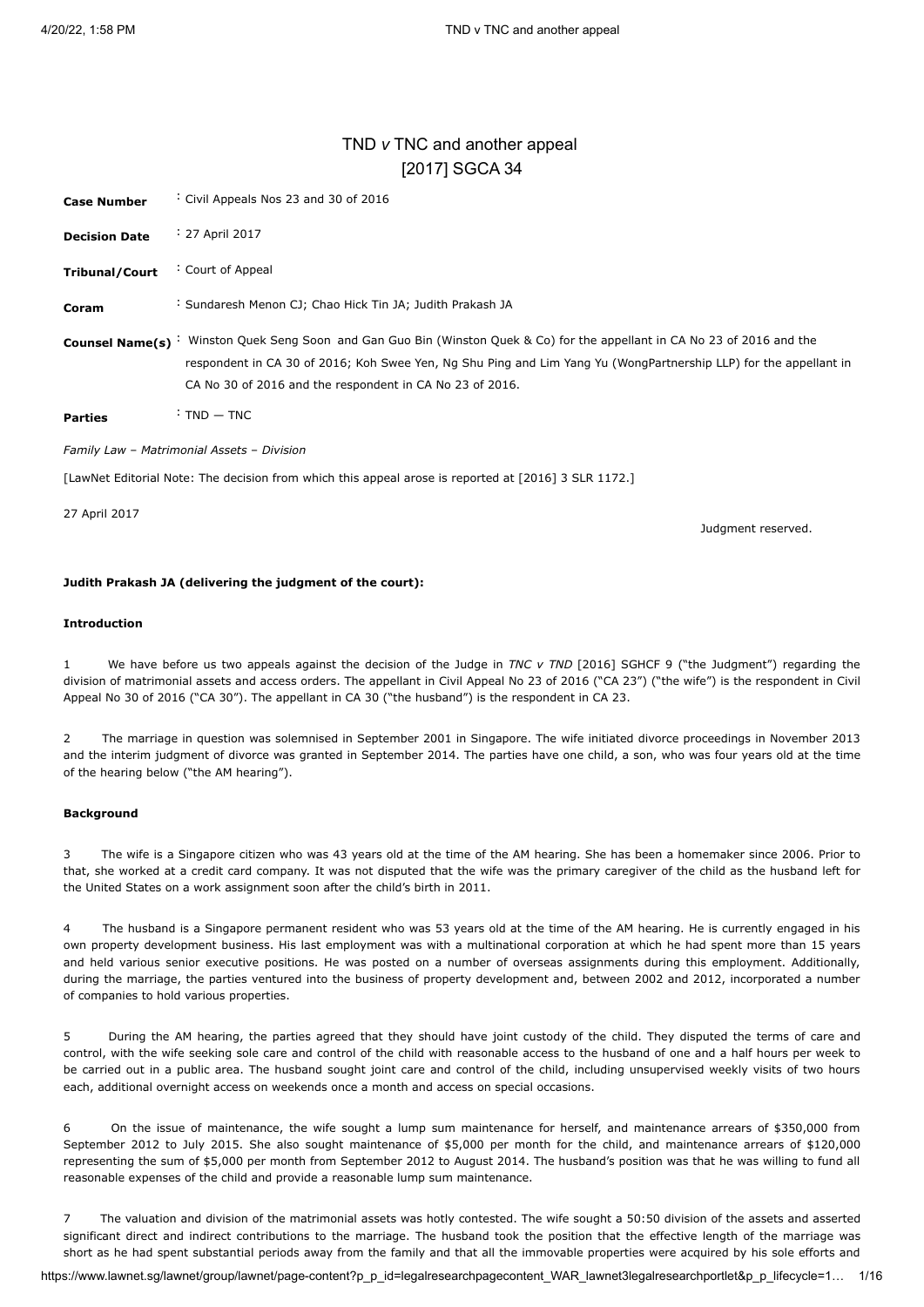# TND *v* TNC and another appeal [\[2017\] SGCA 34](javascript:viewPageContent()

<span id="page-0-0"></span>

| <b>Case Number</b>                         | Civil Appeals Nos 23 and 30 of 2016                                                                                                                                                                                                                                                                         |  |
|--------------------------------------------|-------------------------------------------------------------------------------------------------------------------------------------------------------------------------------------------------------------------------------------------------------------------------------------------------------------|--|
| <b>Decision Date</b>                       | : 27 April 2017                                                                                                                                                                                                                                                                                             |  |
| <b>Tribunal/Court</b>                      | Court of Appeal                                                                                                                                                                                                                                                                                             |  |
| Coram                                      | : Sundaresh Menon CJ; Chao Hick Tin JA; Judith Prakash JA                                                                                                                                                                                                                                                   |  |
|                                            | Counsel Name(s) : Winston Quek Seng Soon and Gan Guo Bin (Winston Quek & Co) for the appellant in CA No 23 of 2016 and the<br>respondent in CA 30 of 2016; Koh Swee Yen, Ng Shu Ping and Lim Yang Yu (WongPartnership LLP) for the appellant in<br>CA No 30 of 2016 and the respondent in CA No 23 of 2016. |  |
| <b>Parties</b>                             | $: TND - TNC$                                                                                                                                                                                                                                                                                               |  |
| Family Law - Matrimonial Assets - Division |                                                                                                                                                                                                                                                                                                             |  |
|                                            | [LawNet Editorial Note: The decision from which this appeal arose is reported at [2016] 3 SLR 1172.]                                                                                                                                                                                                        |  |

27 April 2017

Judgment reserved.

#### **Judith Prakash JA (delivering the judgment of the court):**

#### **Introduction**

1 We have before us two appeals against the decision of the Judge in *TNC v TND* [\[2016\] SGHCF 9](javascript:viewPageContent() ("the Judgment") regarding the division of matrimonial assets and access orders. The appellant in Civil Appeal No 23 of 2016 ("CA 23") ("the wife") is the respondent in Civil Appeal No 30 of 2016 ("CA 30"). The appellant in CA 30 ("the husband") is the respondent in CA 23.

2 The marriage in question was solemnised in September 2001 in Singapore. The wife initiated divorce proceedings in November 2013 and the interim judgment of divorce was granted in September 2014. The parties have one child, a son, who was four years old at the time of the hearing below ("the AM hearing").

#### **Background**

3 The wife is a Singapore citizen who was 43 years old at the time of the AM hearing. She has been a homemaker since 2006. Prior to that, she worked at a credit card company. It was not disputed that the wife was the primary caregiver of the child as the husband left for the United States on a work assignment soon after the child's birth in 2011.

4 The husband is a Singapore permanent resident who was 53 years old at the time of the AM hearing. He is currently engaged in his own property development business. His last employment was with a multinational corporation at which he had spent more than 15 years and held various senior executive positions. He was posted on a number of overseas assignments during this employment. Additionally, during the marriage, the parties ventured into the business of property development and, between 2002 and 2012, incorporated a number of companies to hold various properties.

5 During the AM hearing, the parties agreed that they should have joint custody of the child. They disputed the terms of care and control, with the wife seeking sole care and control of the child with reasonable access to the husband of one and a half hours per week to be carried out in a public area. The husband sought joint care and control of the child, including unsupervised weekly visits of two hours each, additional overnight access on weekends once a month and access on special occasions.

6 On the issue of maintenance, the wife sought a lump sum maintenance for herself, and maintenance arrears of \$350,000 from September 2012 to July 2015. She also sought maintenance of \$5,000 per month for the child, and maintenance arrears of \$120,000 representing the sum of \$5,000 per month from September 2012 to August 2014. The husband's position was that he was willing to fund all reasonable expenses of the child and provide a reasonable lump sum maintenance.

7 The valuation and division of the matrimonial assets was hotly contested. The wife sought a 50:50 division of the assets and asserted significant direct and indirect contributions to the marriage. The husband took the position that the effective length of the marriage was short as he had spent substantial periods away from the family and that all the immovable properties were acquired by his sole efforts and

https://www.lawnet.sg/lawnet/group/lawnet/page-content?p\_p\_id=legalresearchpagecontent\_WAR\_lawnet3legalresearchportlet&p\_p\_lifecycle=1… 1/16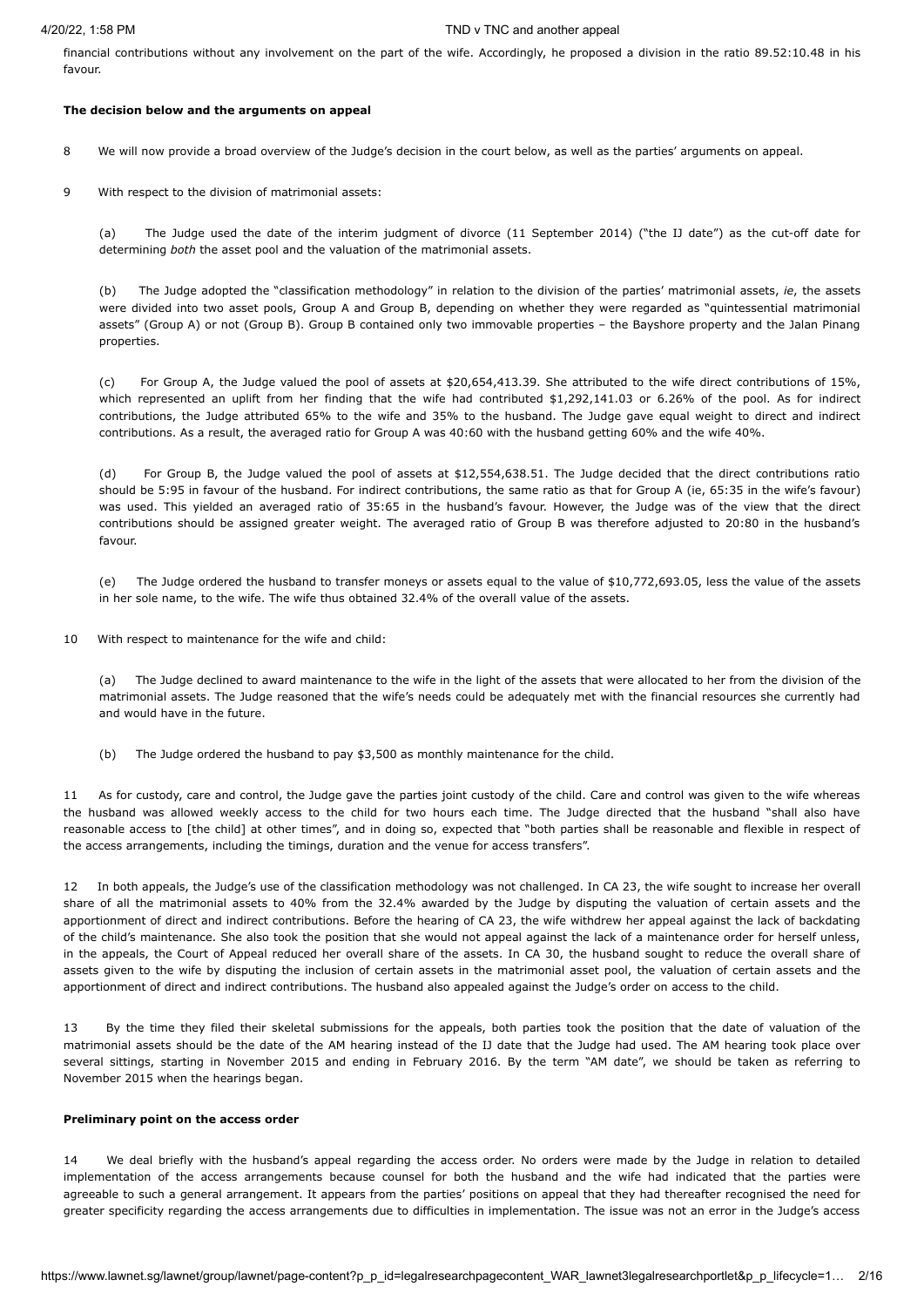financial contributions without any involvement on the part of the wife. Accordingly, he proposed a division in the ratio 89.52:10.48 in his favour.

#### **The decision below and the arguments on appeal**

8 We will now provide a broad overview of the Judge's decision in the court below, as well as the parties' arguments on appeal.

9 With respect to the division of matrimonial assets:

(a) The Judge used the date of the interim judgment of divorce (11 September 2014) ("the IJ date") as the cut-off date for determining *both* the asset pool and the valuation of the matrimonial assets.

(b) The Judge adopted the "classification methodology" in relation to the division of the parties' matrimonial assets, *ie*, the assets were divided into two asset pools, Group A and Group B, depending on whether they were regarded as "quintessential matrimonial assets" (Group A) or not (Group B). Group B contained only two immovable properties – the Bayshore property and the Jalan Pinang properties.

(c) For Group A, the Judge valued the pool of assets at \$20,654,413.39. She attributed to the wife direct contributions of 15%, which represented an uplift from her finding that the wife had contributed \$1,292,141.03 or 6.26% of the pool. As for indirect contributions, the Judge attributed 65% to the wife and 35% to the husband. The Judge gave equal weight to direct and indirect contributions. As a result, the averaged ratio for Group A was 40:60 with the husband getting 60% and the wife 40%.

(d) For Group B, the Judge valued the pool of assets at \$12,554,638.51. The Judge decided that the direct contributions ratio should be 5:95 in favour of the husband. For indirect contributions, the same ratio as that for Group A (ie, 65:35 in the wife's favour) was used. This yielded an averaged ratio of 35:65 in the husband's favour. However, the Judge was of the view that the direct contributions should be assigned greater weight. The averaged ratio of Group B was therefore adjusted to 20:80 in the husband's favour.

(e) The Judge ordered the husband to transfer moneys or assets equal to the value of \$10,772,693.05, less the value of the assets in her sole name, to the wife. The wife thus obtained 32.4% of the overall value of the assets.

10 With respect to maintenance for the wife and child:

(a) The Judge declined to award maintenance to the wife in the light of the assets that were allocated to her from the division of the matrimonial assets. The Judge reasoned that the wife's needs could be adequately met with the financial resources she currently had and would have in the future.

(b) The Judge ordered the husband to pay \$3,500 as monthly maintenance for the child.

11 As for custody, care and control, the Judge gave the parties joint custody of the child. Care and control was given to the wife whereas the husband was allowed weekly access to the child for two hours each time. The Judge directed that the husband "shall also have reasonable access to [the child] at other times", and in doing so, expected that "both parties shall be reasonable and flexible in respect of the access arrangements, including the timings, duration and the venue for access transfers".

12 In both appeals, the Judge's use of the classification methodology was not challenged. In CA 23, the wife sought to increase her overall share of all the matrimonial assets to 40% from the 32.4% awarded by the Judge by disputing the valuation of certain assets and the apportionment of direct and indirect contributions. Before the hearing of CA 23, the wife withdrew her appeal against the lack of backdating of the child's maintenance. She also took the position that she would not appeal against the lack of a maintenance order for herself unless, in the appeals, the Court of Appeal reduced her overall share of the assets. In CA 30, the husband sought to reduce the overall share of assets given to the wife by disputing the inclusion of certain assets in the matrimonial asset pool, the valuation of certain assets and the apportionment of direct and indirect contributions. The husband also appealed against the Judge's order on access to the child.

13 By the time they filed their skeletal submissions for the appeals, both parties took the position that the date of valuation of the matrimonial assets should be the date of the AM hearing instead of the IJ date that the Judge had used. The AM hearing took place over several sittings, starting in November 2015 and ending in February 2016. By the term "AM date", we should be taken as referring to November 2015 when the hearings began.

#### **Preliminary point on the access order**

14 We deal briefly with the husband's appeal regarding the access order. No orders were made by the Judge in relation to detailed implementation of the access arrangements because counsel for both the husband and the wife had indicated that the parties were agreeable to such a general arrangement. It appears from the parties' positions on appeal that they had thereafter recognised the need for greater specificity regarding the access arrangements due to difficulties in implementation. The issue was not an error in the Judge's access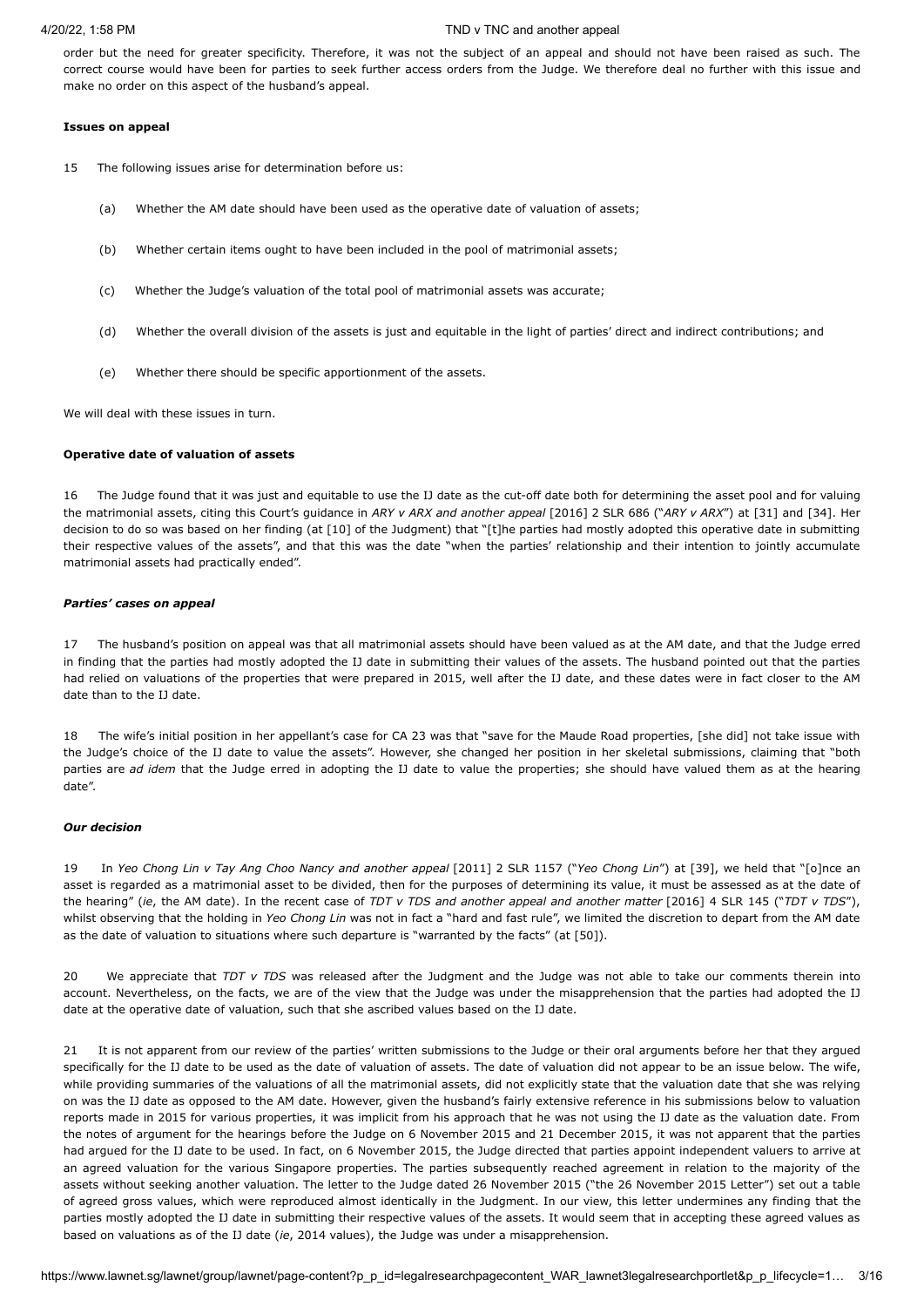order but the need for greater specificity. Therefore, it was not the subject of an appeal and should not have been raised as such. The correct course would have been for parties to seek further access orders from the Judge. We therefore deal no further with this issue and make no order on this aspect of the husband's appeal.

#### **Issues on appeal**

- 15 The following issues arise for determination before us:
	- (a) Whether the AM date should have been used as the operative date of valuation of assets;
	- (b) Whether certain items ought to have been included in the pool of matrimonial assets;
	- (c) Whether the Judge's valuation of the total pool of matrimonial assets was accurate;
	- (d) Whether the overall division of the assets is just and equitable in the light of parties' direct and indirect contributions; and
	- (e) Whether there should be specific apportionment of the assets.

We will deal with these issues in turn.

### **Operative date of valuation of assets**

16 The Judge found that it was just and equitable to use the IJ date as the cut-off date both for determining the asset pool and for valuing the matrimonial assets, citing this Court's guidance in *ARY v ARX and another appeal* [\[2016\] 2](javascript:viewPageContent() SLR 686 ("*ARY v ARX*") at [31] and [34]. Her decision to do so was based on her finding (at [10] of the Judgment) that "[t]he parties had mostly adopted this operative date in submitting their respective values of the assets", and that this was the date "when the parties' relationship and their intention to jointly accumulate matrimonial assets had practically ended".

### *Parties' cases on appeal*

17 The husband's position on appeal was that all matrimonial assets should have been valued as at the AM date, and that the Judge erred in finding that the parties had mostly adopted the IJ date in submitting their values of the assets. The husband pointed out that the parties had relied on valuations of the properties that were prepared in 2015, well after the IJ date, and these dates were in fact closer to the AM date than to the IJ date.

18 The wife's initial position in her appellant's case for CA 23 was that "save for the Maude Road properties, [she did] not take issue with the Judge's choice of the IJ date to value the assets". However, she changed her position in her skeletal submissions, claiming that "both parties are *ad idem* that the Judge erred in adopting the IJ date to value the properties; she should have valued them as at the hearing date".

## *Our decision*

19 In *Yeo Chong Lin v Tay Ang Choo Nancy and another appeal* [2011] 2 [SLR 1157](javascript:viewPageContent() ("*Yeo Chong Lin*") at [39], we held that "[o]nce an asset is regarded as a matrimonial asset to be divided, then for the purposes of determining its value, it must be assessed as at the date of the hearing" (*ie*, the AM date). In the recent case of *TDT v TDS and another appeal and another matter* [\[2016\] 4 SLR 145](javascript:viewPageContent() ("*TDT v TDS*"), whilst observing that the holding in *Yeo Chong Lin* was not in fact a "hard and fast rule", we limited the discretion to depart from the AM date as the date of valuation to situations where such departure is "warranted by the facts" (at [50]).

20 We appreciate that *TDT v TDS* was released after the Judgment and the Judge was not able to take our comments therein into account. Nevertheless, on the facts, we are of the view that the Judge was under the misapprehension that the parties had adopted the IJ date at the operative date of valuation, such that she ascribed values based on the IJ date.

21 It is not apparent from our review of the parties' written submissions to the Judge or their oral arguments before her that they argued specifically for the IJ date to be used as the date of valuation of assets. The date of valuation did not appear to be an issue below. The wife, while providing summaries of the valuations of all the matrimonial assets, did not explicitly state that the valuation date that she was relying on was the IJ date as opposed to the AM date. However, given the husband's fairly extensive reference in his submissions below to valuation reports made in 2015 for various properties, it was implicit from his approach that he was not using the IJ date as the valuation date. From the notes of argument for the hearings before the Judge on 6 November 2015 and 21 December 2015, it was not apparent that the parties had argued for the IJ date to be used. In fact, on 6 November 2015, the Judge directed that parties appoint independent valuers to arrive at an agreed valuation for the various Singapore properties. The parties subsequently reached agreement in relation to the majority of the assets without seeking another valuation. The letter to the Judge dated 26 November 2015 ("the 26 November 2015 Letter") set out a table of agreed gross values, which were reproduced almost identically in the Judgment. In our view, this letter undermines any finding that the parties mostly adopted the IJ date in submitting their respective values of the assets. It would seem that in accepting these agreed values as based on valuations as of the IJ date (*ie*, 2014 values), the Judge was under a misapprehension.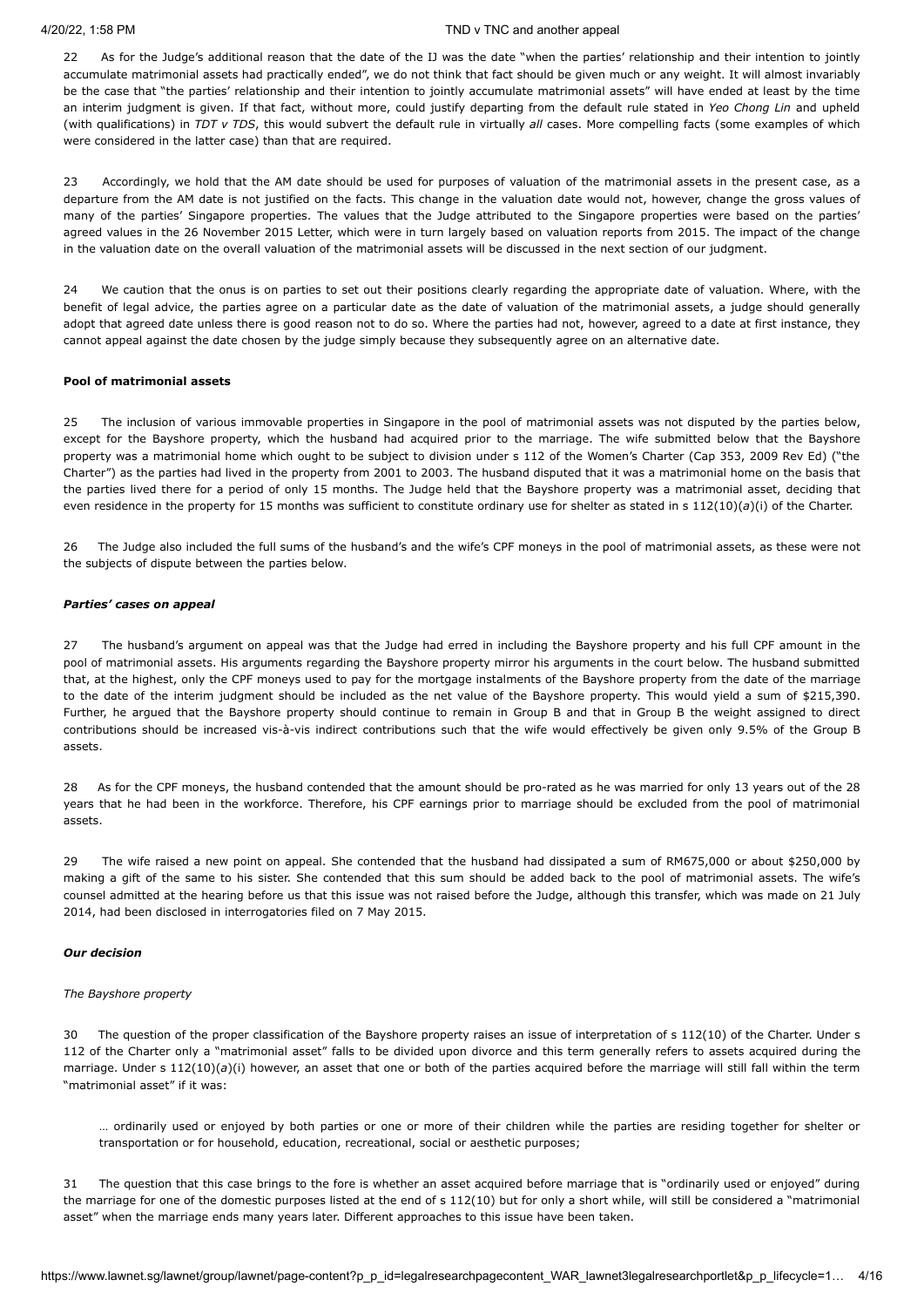22 As for the Judge's additional reason that the date of the IJ was the date "when the parties' relationship and their intention to jointly accumulate matrimonial assets had practically ended", we do not think that fact should be given much or any weight. It will almost invariably be the case that "the parties' relationship and their intention to jointly accumulate matrimonial assets" will have ended at least by the time an interim judgment is given. If that fact, without more, could justify departing from the default rule stated in *Yeo Chong Lin* and upheld (with qualifications) in *TDT v TDS*, this would subvert the default rule in virtually *all* cases. More compelling facts (some examples of which were considered in the latter case) than that are required.

23 Accordingly, we hold that the AM date should be used for purposes of valuation of the matrimonial assets in the present case, as a departure from the AM date is not justified on the facts. This change in the valuation date would not, however, change the gross values of many of the parties' Singapore properties. The values that the Judge attributed to the Singapore properties were based on the parties' agreed values in the 26 November 2015 Letter, which were in turn largely based on valuation reports from 2015. The impact of the change in the valuation date on the overall valuation of the matrimonial assets will be discussed in the next section of our judgment.

24 We caution that the onus is on parties to set out their positions clearly regarding the appropriate date of valuation. Where, with the benefit of legal advice, the parties agree on a particular date as the date of valuation of the matrimonial assets, a judge should generally adopt that agreed date unless there is good reason not to do so. Where the parties had not, however, agreed to a date at first instance, they cannot appeal against the date chosen by the judge simply because they subsequently agree on an alternative date.

### **Pool of matrimonial assets**

25 The inclusion of various immovable properties in Singapore in the pool of matrimonial assets was not disputed by the parties below, except for the Bayshore property, which the husband had acquired prior to the marriage. The wife submitted below that the Bayshore property was a matrimonial home which ought to be subject to division under s 112 of the Women's Charter (Cap 353, 2009 Rev Ed) ("the Charter") as the parties had lived in the property from 2001 to 2003. The husband disputed that it was a matrimonial home on the basis that the parties lived there for a period of only 15 months. The Judge held that the Bayshore property was a matrimonial asset, deciding that even residence in the property for 15 months was sufficient to constitute ordinary use for shelter as stated in s 112(10)(*a*)(i) of the Charter.

26 The Judge also included the full sums of the husband's and the wife's CPF moneys in the pool of matrimonial assets, as these were not the subjects of dispute between the parties below.

### *Parties' cases on appeal*

27 The husband's argument on appeal was that the Judge had erred in including the Bayshore property and his full CPF amount in the pool of matrimonial assets. His arguments regarding the Bayshore property mirror his arguments in the court below. The husband submitted that, at the highest, only the CPF moneys used to pay for the mortgage instalments of the Bayshore property from the date of the marriage to the date of the interim judgment should be included as the net value of the Bayshore property. This would yield a sum of \$215,390. Further, he argued that the Bayshore property should continue to remain in Group B and that in Group B the weight assigned to direct contributions should be increased vis-à-vis indirect contributions such that the wife would effectively be given only 9.5% of the Group B assets.

28 As for the CPF moneys, the husband contended that the amount should be pro-rated as he was married for only 13 years out of the 28 years that he had been in the workforce. Therefore, his CPF earnings prior to marriage should be excluded from the pool of matrimonial assets.

29 The wife raised a new point on appeal. She contended that the husband had dissipated a sum of RM675,000 or about \$250,000 by making a gift of the same to his sister. She contended that this sum should be added back to the pool of matrimonial assets. The wife's counsel admitted at the hearing before us that this issue was not raised before the Judge, although this transfer, which was made on 21 July 2014, had been disclosed in interrogatories filed on 7 May 2015.

#### *Our decision*

#### *The Bayshore property*

30 The question of the proper classification of the Bayshore property raises an issue of interpretation of s 112(10) of the Charter. Under s 112 of the Charter only a "matrimonial asset" falls to be divided upon divorce and this term generally refers to assets acquired during the marriage. Under s 112(10)(*a*)(i) however, an asset that one or both of the parties acquired before the marriage will still fall within the term "matrimonial asset" if it was:

… ordinarily used or enjoyed by both parties or one or more of their children while the parties are residing together for shelter or transportation or for household, education, recreational, social or aesthetic purposes;

31 The question that this case brings to the fore is whether an asset acquired before marriage that is "ordinarily used or enjoyed" during the marriage for one of the domestic purposes listed at the end of s 112(10) but for only a short while, will still be considered a "matrimonial asset" when the marriage ends many years later. Different approaches to this issue have been taken.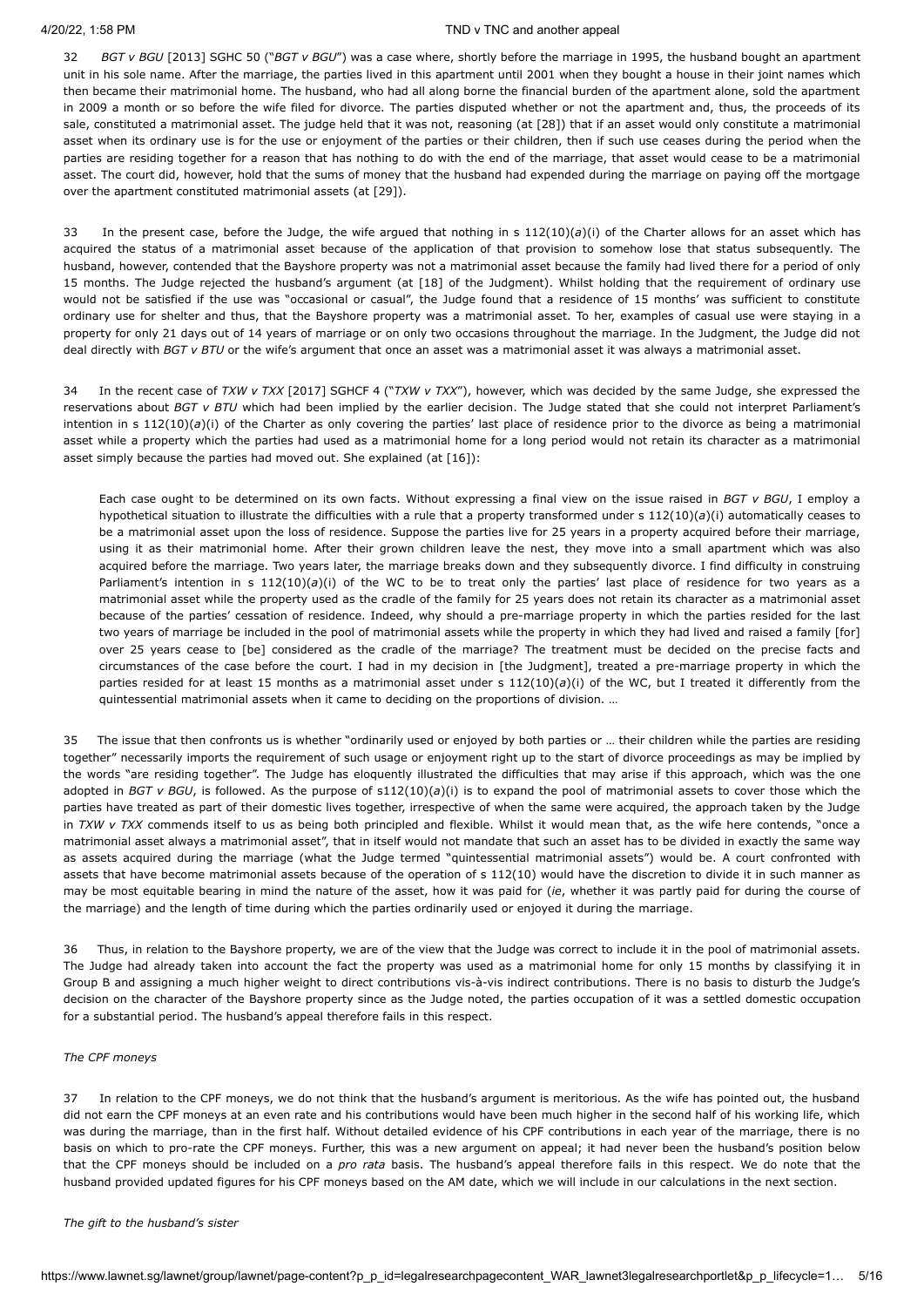32 *BGT v BGU* [\[2013\] SGHC 50](javascript:viewPageContent() ("*BGT v BGU*") was a case where, shortly before the marriage in 1995, the husband bought an apartment unit in his sole name. After the marriage, the parties lived in this apartment until 2001 when they bought a house in their joint names which then became their matrimonial home. The husband, who had all along borne the financial burden of the apartment alone, sold the apartment in 2009 a month or so before the wife filed for divorce. The parties disputed whether or not the apartment and, thus, the proceeds of its sale, constituted a matrimonial asset. The judge held that it was not, reasoning (at [28]) that if an asset would only constitute a matrimonial asset when its ordinary use is for the use or enjoyment of the parties or their children, then if such use ceases during the period when the parties are residing together for a reason that has nothing to do with the end of the marriage, that asset would cease to be a matrimonial asset. The court did, however, hold that the sums of money that the husband had expended during the marriage on paying off the mortgage over the apartment constituted matrimonial assets (at [29]).

33 In the present case, before the Judge, the wife argued that nothing in s 112(10)(*a*)(i) of the Charter allows for an asset which has acquired the status of a matrimonial asset because of the application of that provision to somehow lose that status subsequently. The husband, however, contended that the Bayshore property was not a matrimonial asset because the family had lived there for a period of only 15 months. The Judge rejected the husband's argument (at [18] of the Judgment). Whilst holding that the requirement of ordinary use would not be satisfied if the use was "occasional or casual", the Judge found that a residence of 15 months' was sufficient to constitute ordinary use for shelter and thus, that the Bayshore property was a matrimonial asset. To her, examples of casual use were staying in a property for only 21 days out of 14 years of marriage or on only two occasions throughout the marriage. In the Judgment, the Judge did not deal directly with *BGT v BTU* or the wife's argument that once an asset was a matrimonial asset it was always a matrimonial asset.

34 In the recent case of *TXW v TXX* [\[2017\] SGHCF 4](javascript:viewPageContent() ("*TXW v TXX*"), however, which was decided by the same Judge, she expressed the reservations about *BGT v BTU* which had been implied by the earlier decision. The Judge stated that she could not interpret Parliament's intention in s 112(10)(*a*)(i) of the Charter as only covering the parties' last place of residence prior to the divorce as being a matrimonial asset while a property which the parties had used as a matrimonial home for a long period would not retain its character as a matrimonial asset simply because the parties had moved out. She explained (at [16]):

Each case ought to be determined on its own facts. Without expressing a final view on the issue raised in *BGT v BGU*, I employ a hypothetical situation to illustrate the difficulties with a rule that a property transformed under s 112(10)(*a*)(i) automatically ceases to be a matrimonial asset upon the loss of residence. Suppose the parties live for 25 years in a property acquired before their marriage, using it as their matrimonial home. After their grown children leave the nest, they move into a small apartment which was also acquired before the marriage. Two years later, the marriage breaks down and they subsequently divorce. I find difficulty in construing Parliament's intention in s 112(10)(*a*)(i) of the WC to be to treat only the parties' last place of residence for two years as a matrimonial asset while the property used as the cradle of the family for 25 years does not retain its character as a matrimonial asset because of the parties' cessation of residence. Indeed, why should a pre-marriage property in which the parties resided for the last two years of marriage be included in the pool of matrimonial assets while the property in which they had lived and raised a family [for] over 25 years cease to [be] considered as the cradle of the marriage? The treatment must be decided on the precise facts and circumstances of the case before the court. I had in my decision in [the Judgment], treated a pre-marriage property in which the parties resided for at least 15 months as a matrimonial asset under s 112(10)(*a*)(i) of the WC, but I treated it differently from the quintessential matrimonial assets when it came to deciding on the proportions of division. …

35 The issue that then confronts us is whether "ordinarily used or enjoyed by both parties or … their children while the parties are residing together" necessarily imports the requirement of such usage or enjoyment right up to the start of divorce proceedings as may be implied by the words "are residing together". The Judge has eloquently illustrated the difficulties that may arise if this approach, which was the one adopted in *BGT v BGU*, is followed. As the purpose of s112(10)(*a*)(i) is to expand the pool of matrimonial assets to cover those which the parties have treated as part of their domestic lives together, irrespective of when the same were acquired, the approach taken by the Judge in *TXW v TXX* commends itself to us as being both principled and flexible. Whilst it would mean that, as the wife here contends, "once a matrimonial asset always a matrimonial asset", that in itself would not mandate that such an asset has to be divided in exactly the same way as assets acquired during the marriage (what the Judge termed "quintessential matrimonial assets") would be. A court confronted with assets that have become matrimonial assets because of the operation of s 112(10) would have the discretion to divide it in such manner as may be most equitable bearing in mind the nature of the asset, how it was paid for (*ie*, whether it was partly paid for during the course of the marriage) and the length of time during which the parties ordinarily used or enjoyed it during the marriage.

36 Thus, in relation to the Bayshore property, we are of the view that the Judge was correct to include it in the pool of matrimonial assets. The Judge had already taken into account the fact the property was used as a matrimonial home for only 15 months by classifying it in Group B and assigning a much higher weight to direct contributions vis-à-vis indirect contributions. There is no basis to disturb the Judge's decision on the character of the Bayshore property since as the Judge noted, the parties occupation of it was a settled domestic occupation for a substantial period. The husband's appeal therefore fails in this respect.

#### *The CPF moneys*

37 In relation to the CPF moneys, we do not think that the husband's argument is meritorious. As the wife has pointed out, the husband did not earn the CPF moneys at an even rate and his contributions would have been much higher in the second half of his working life, which was during the marriage, than in the first half. Without detailed evidence of his CPF contributions in each year of the marriage, there is no basis on which to pro-rate the CPF moneys. Further, this was a new argument on appeal; it had never been the husband's position below that the CPF moneys should be included on a *pro rata* basis. The husband's appeal therefore fails in this respect. We do note that the husband provided updated figures for his CPF moneys based on the AM date, which we will include in our calculations in the next section.

*The gift to the husband's sister*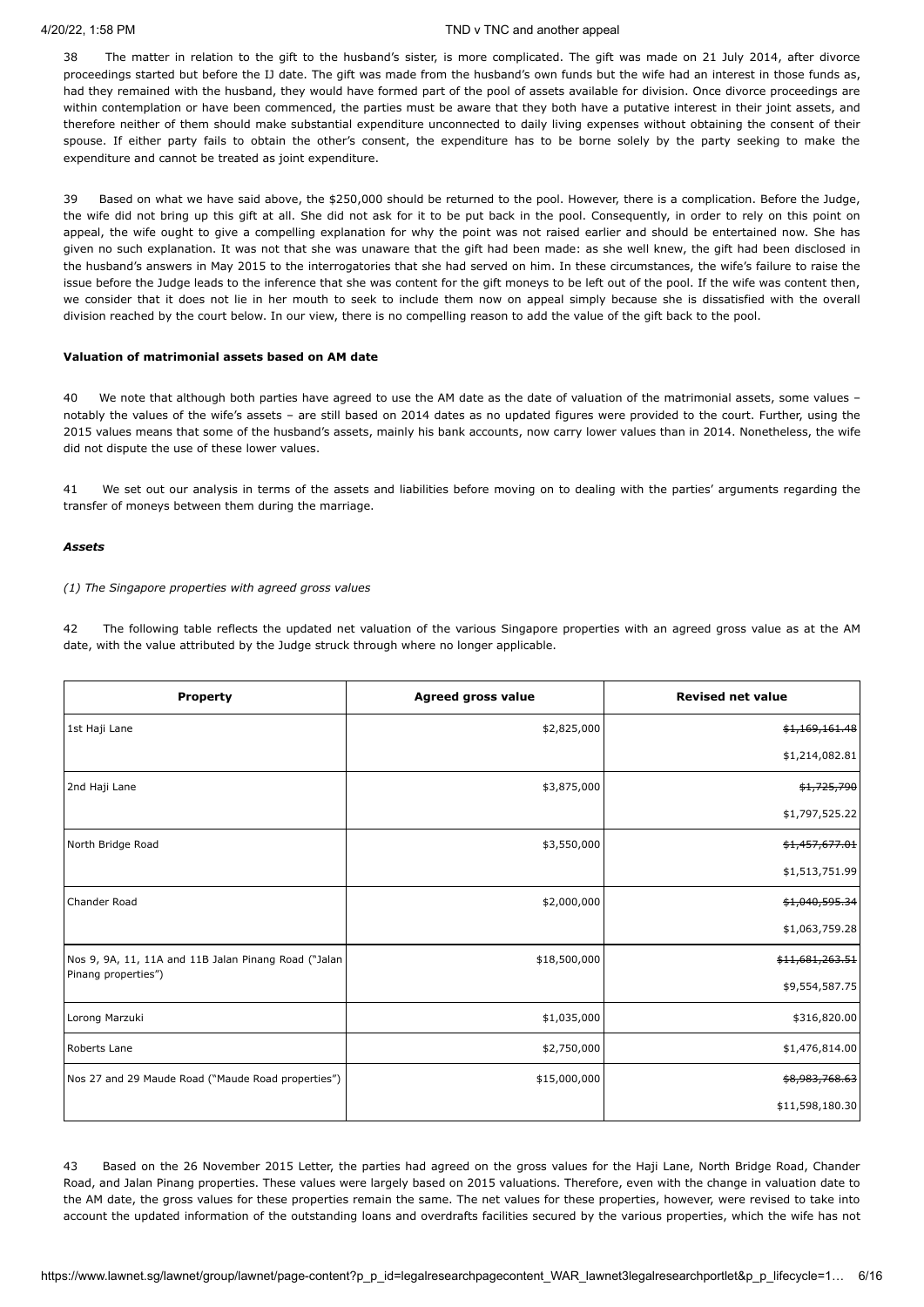38 The matter in relation to the gift to the husband's sister, is more complicated. The gift was made on 21 July 2014, after divorce proceedings started but before the IJ date. The gift was made from the husband's own funds but the wife had an interest in those funds as, had they remained with the husband, they would have formed part of the pool of assets available for division. Once divorce proceedings are within contemplation or have been commenced, the parties must be aware that they both have a putative interest in their joint assets, and therefore neither of them should make substantial expenditure unconnected to daily living expenses without obtaining the consent of their spouse. If either party fails to obtain the other's consent, the expenditure has to be borne solely by the party seeking to make the expenditure and cannot be treated as joint expenditure.

39 Based on what we have said above, the \$250,000 should be returned to the pool. However, there is a complication. Before the Judge, the wife did not bring up this gift at all. She did not ask for it to be put back in the pool. Consequently, in order to rely on this point on appeal, the wife ought to give a compelling explanation for why the point was not raised earlier and should be entertained now. She has given no such explanation. It was not that she was unaware that the gift had been made: as she well knew, the gift had been disclosed in the husband's answers in May 2015 to the interrogatories that she had served on him. In these circumstances, the wife's failure to raise the issue before the Judge leads to the inference that she was content for the gift moneys to be left out of the pool. If the wife was content then, we consider that it does not lie in her mouth to seek to include them now on appeal simply because she is dissatisfied with the overall division reached by the court below. In our view, there is no compelling reason to add the value of the gift back to the pool.

## **Valuation of matrimonial assets based on AM date**

40 We note that although both parties have agreed to use the AM date as the date of valuation of the matrimonial assets, some values – notably the values of the wife's assets – are still based on 2014 dates as no updated figures were provided to the court. Further, using the 2015 values means that some of the husband's assets, mainly his bank accounts, now carry lower values than in 2014. Nonetheless, the wife did not dispute the use of these lower values.

41 We set out our analysis in terms of the assets and liabilities before moving on to dealing with the parties' arguments regarding the transfer of moneys between them during the marriage.

## *Assets*

## *(1) The Singapore properties with agreed gross values*

42 The following table reflects the updated net valuation of the various Singapore properties with an agreed gross value as at the AM date, with the value attributed by the Judge struck through where no longer applicable.

| <b>Property</b>                                      | <b>Agreed gross value</b> | <b>Revised net value</b>   |
|------------------------------------------------------|---------------------------|----------------------------|
| 1st Haji Lane                                        | \$2,825,000               | \$1,169,161.48             |
|                                                      |                           | \$1,214,082.81             |
| 2nd Haji Lane                                        | \$3,875,000               | \$1,725,790                |
|                                                      |                           | \$1,797,525.22             |
| North Bridge Road                                    | \$3,550,000               | \$1,457,677.01             |
|                                                      |                           | \$1,513,751.99             |
| Chander Road                                         | \$2,000,000               | \$1,040,595.34             |
|                                                      |                           | \$1,063,759.28             |
| Nos 9, 9A, 11, 11A and 11B Jalan Pinang Road ("Jalan | \$18,500,000              | <del>\$11,681,263.51</del> |
| Pinang properties")                                  |                           | \$9,554,587.75             |
| Lorong Marzuki                                       | \$1,035,000               | \$316,820.00               |
| Roberts Lane                                         | \$2,750,000               | \$1,476,814.00             |
| Nos 27 and 29 Maude Road ("Maude Road properties")   | \$15,000,000              | \$8,983,768.63             |
|                                                      |                           | \$11,598,180.30            |

43 Based on the 26 November 2015 Letter, the parties had agreed on the gross values for the Haji Lane, North Bridge Road, Chander Road, and Jalan Pinang properties. These values were largely based on 2015 valuations. Therefore, even with the change in valuation date to the AM date, the gross values for these properties remain the same. The net values for these properties, however, were revised to take into account the updated information of the outstanding loans and overdrafts facilities secured by the various properties, which the wife has not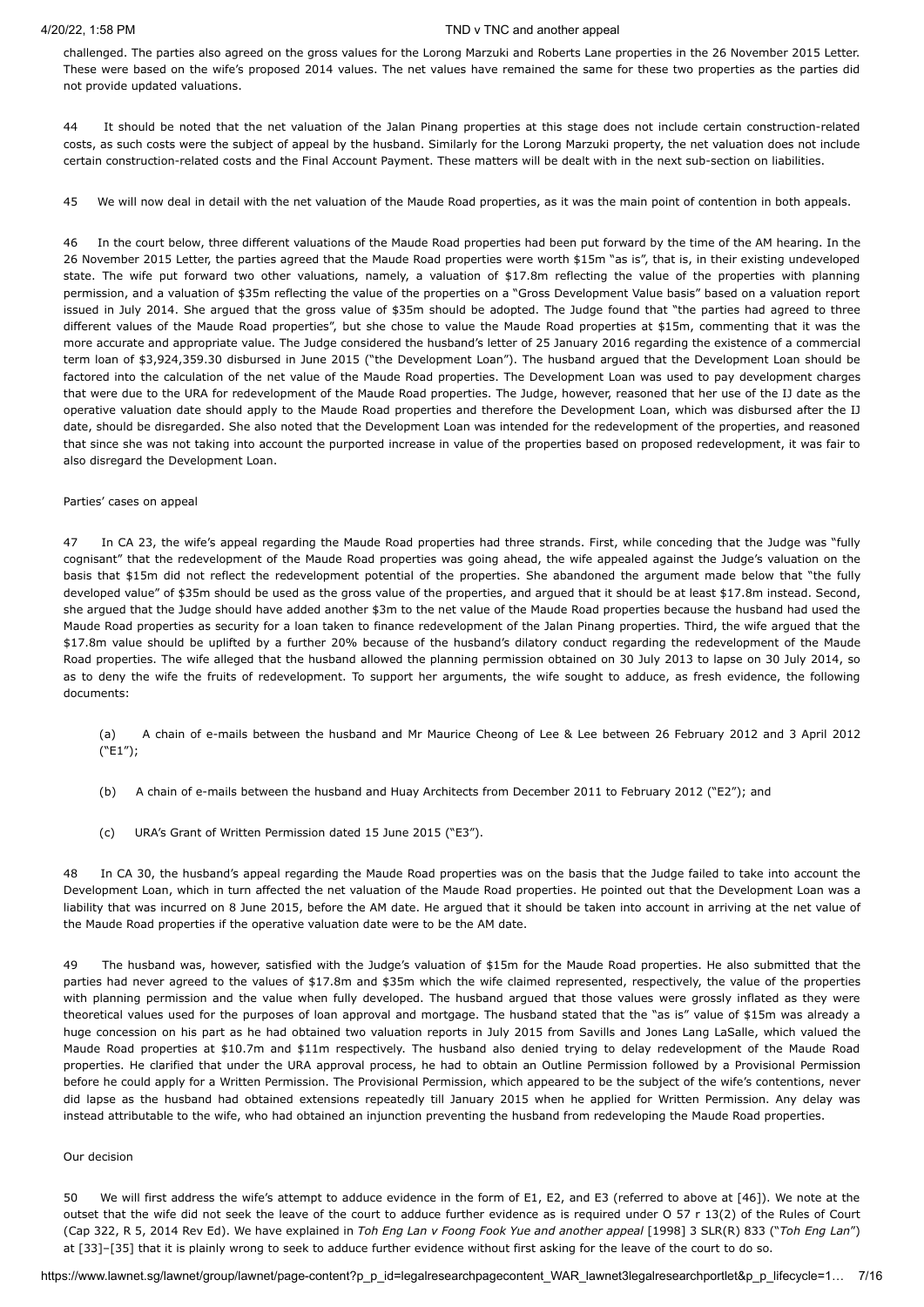challenged. The parties also agreed on the gross values for the Lorong Marzuki and Roberts Lane properties in the 26 November 2015 Letter. These were based on the wife's proposed 2014 values. The net values have remained the same for these two properties as the parties did not provide updated valuations.

44 It should be noted that the net valuation of the Jalan Pinang properties at this stage does not include certain construction-related costs, as such costs were the subject of appeal by the husband. Similarly for the Lorong Marzuki property, the net valuation does not include certain construction-related costs and the Final Account Payment. These matters will be dealt with in the next sub-section on liabilities.

45 We will now deal in detail with the net valuation of the Maude Road properties, as it was the main point of contention in both appeals.

46 In the court below, three different valuations of the Maude Road properties had been put forward by the time of the AM hearing. In the 26 November 2015 Letter, the parties agreed that the Maude Road properties were worth \$15m "as is", that is, in their existing undeveloped state. The wife put forward two other valuations, namely, a valuation of \$17.8m reflecting the value of the properties with planning permission, and a valuation of \$35m reflecting the value of the properties on a "Gross Development Value basis" based on a valuation report issued in July 2014. She argued that the gross value of \$35m should be adopted. The Judge found that "the parties had agreed to three different values of the Maude Road properties", but she chose to value the Maude Road properties at \$15m, commenting that it was the more accurate and appropriate value. The Judge considered the husband's letter of 25 January 2016 regarding the existence of a commercial term loan of \$3,924,359.30 disbursed in June 2015 ("the Development Loan"). The husband argued that the Development Loan should be factored into the calculation of the net value of the Maude Road properties. The Development Loan was used to pay development charges that were due to the URA for redevelopment of the Maude Road properties. The Judge, however, reasoned that her use of the IJ date as the operative valuation date should apply to the Maude Road properties and therefore the Development Loan, which was disbursed after the IJ date, should be disregarded. She also noted that the Development Loan was intended for the redevelopment of the properties, and reasoned that since she was not taking into account the purported increase in value of the properties based on proposed redevelopment, it was fair to also disregard the Development Loan.

### Parties' cases on appeal

47 In CA 23, the wife's appeal regarding the Maude Road properties had three strands. First, while conceding that the Judge was "fully cognisant" that the redevelopment of the Maude Road properties was going ahead, the wife appealed against the Judge's valuation on the basis that \$15m did not reflect the redevelopment potential of the properties. She abandoned the argument made below that "the fully developed value" of \$35m should be used as the gross value of the properties, and argued that it should be at least \$17.8m instead. Second, she argued that the Judge should have added another \$3m to the net value of the Maude Road properties because the husband had used the Maude Road properties as security for a loan taken to finance redevelopment of the Jalan Pinang properties. Third, the wife argued that the \$17.8m value should be uplifted by a further 20% because of the husband's dilatory conduct regarding the redevelopment of the Maude Road properties. The wife alleged that the husband allowed the planning permission obtained on 30 July 2013 to lapse on 30 July 2014, so as to deny the wife the fruits of redevelopment. To support her arguments, the wife sought to adduce, as fresh evidence, the following documents:

- (a) A chain of e-mails between the husband and Mr Maurice Cheong of Lee & Lee between 26 February 2012 and 3 April 2012 ("E1");
- (b) A chain of e-mails between the husband and Huay Architects from December 2011 to February 2012 ("E2"); and
- (c) URA's Grant of Written Permission dated 15 June 2015 ("E3").

48 In CA 30, the husband's appeal regarding the Maude Road properties was on the basis that the Judge failed to take into account the Development Loan, which in turn affected the net valuation of the Maude Road properties. He pointed out that the Development Loan was a liability that was incurred on 8 June 2015, before the AM date. He argued that it should be taken into account in arriving at the net value of the Maude Road properties if the operative valuation date were to be the AM date.

49 The husband was, however, satisfied with the Judge's valuation of \$15m for the Maude Road properties. He also submitted that the parties had never agreed to the values of \$17.8m and \$35m which the wife claimed represented, respectively, the value of the properties with planning permission and the value when fully developed. The husband argued that those values were grossly inflated as they were theoretical values used for the purposes of loan approval and mortgage. The husband stated that the "as is" value of \$15m was already a huge concession on his part as he had obtained two valuation reports in July 2015 from Savills and Jones Lang LaSalle, which valued the Maude Road properties at \$10.7m and \$11m respectively. The husband also denied trying to delay redevelopment of the Maude Road properties. He clarified that under the URA approval process, he had to obtain an Outline Permission followed by a Provisional Permission before he could apply for a Written Permission. The Provisional Permission, which appeared to be the subject of the wife's contentions, never did lapse as the husband had obtained extensions repeatedly till January 2015 when he applied for Written Permission. Any delay was instead attributable to the wife, who had obtained an injunction preventing the husband from redeveloping the Maude Road properties.

#### Our decision

50 We will first address the wife's attempt to adduce evidence in the form of E1, E2, and E3 (referred to above at [46]). We note at the outset that the wife did not seek the leave of the court to adduce further evidence as is required under O 57 r 13(2) of the Rules of Court (Cap 322, R 5, 2014 Rev Ed). We have explained in *Toh Eng Lan v Foong Fook Yue and another appeal* [1998] 3 [SLR\(R\) 833](javascript:viewPageContent() ("*Toh Eng Lan*") at [33]–[35] that it is plainly wrong to seek to adduce further evidence without first asking for the leave of the court to do so.

https://www.lawnet.sg/lawnet/group/lawnet/page-content?p\_p\_id=legalresearchpagecontent\_WAR\_lawnet3legalresearchportlet&p\_p\_lifecycle=1… 7/16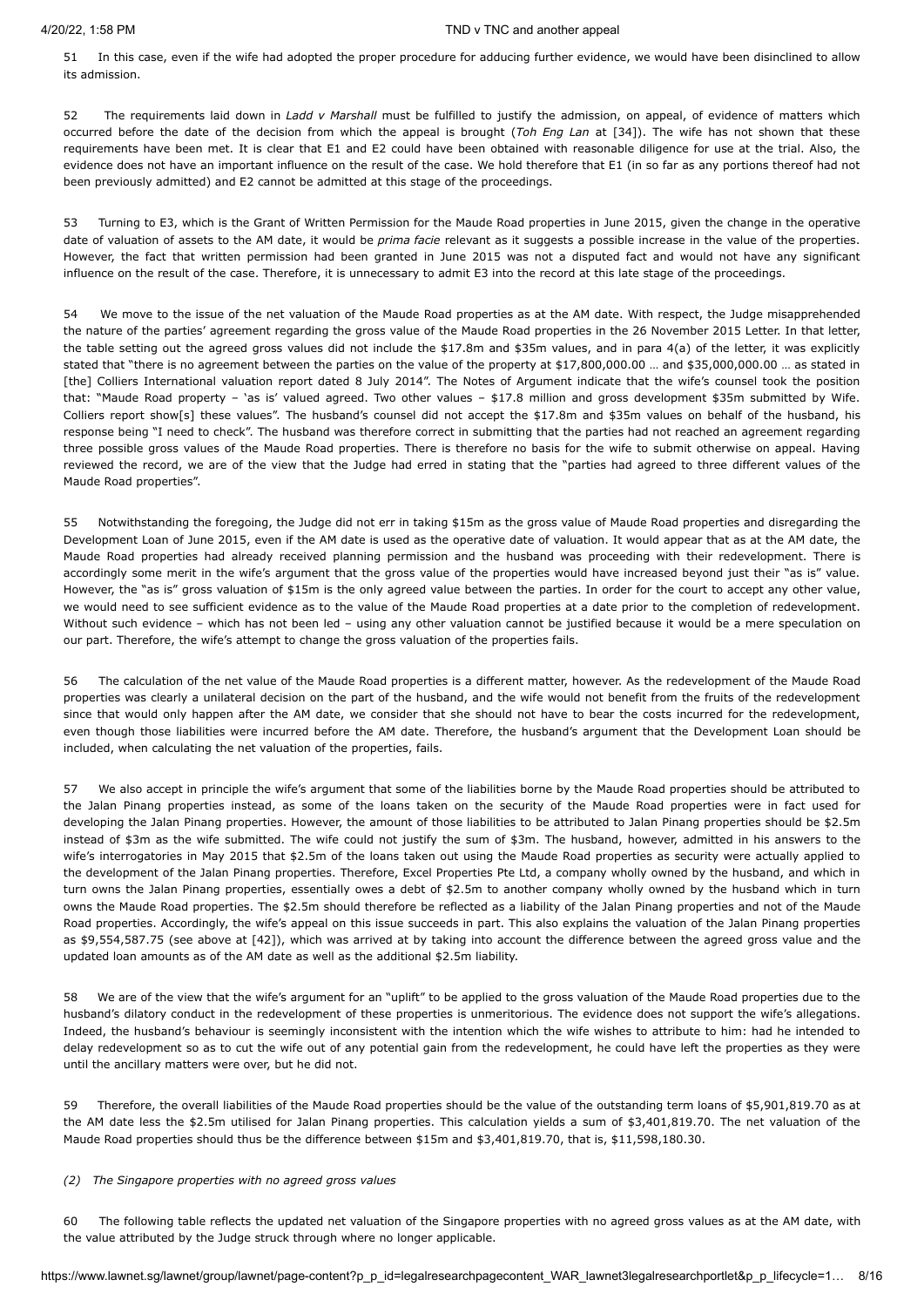51 In this case, even if the wife had adopted the proper procedure for adducing further evidence, we would have been disinclined to allow its admission.

52 The requirements laid down in *Ladd v Marshall* must be fulfilled to justify the admission, on appeal, of evidence of matters which occurred before the date of the decision from which the appeal is brought (*Toh Eng Lan* at [34]). The wife has not shown that these requirements have been met. It is clear that E1 and E2 could have been obtained with reasonable diligence for use at the trial. Also, the evidence does not have an important influence on the result of the case. We hold therefore that E1 (in so far as any portions thereof had not been previously admitted) and E2 cannot be admitted at this stage of the proceedings.

53 Turning to E3, which is the Grant of Written Permission for the Maude Road properties in June 2015, given the change in the operative date of valuation of assets to the AM date, it would be *prima facie* relevant as it suggests a possible increase in the value of the properties. However, the fact that written permission had been granted in June 2015 was not a disputed fact and would not have any significant influence on the result of the case. Therefore, it is unnecessary to admit E3 into the record at this late stage of the proceedings.

54 We move to the issue of the net valuation of the Maude Road properties as at the AM date. With respect, the Judge misapprehended the nature of the parties' agreement regarding the gross value of the Maude Road properties in the 26 November 2015 Letter. In that letter, the table setting out the agreed gross values did not include the \$17.8m and \$35m values, and in para 4(a) of the letter, it was explicitly stated that "there is no agreement between the parties on the value of the property at \$17,800,000.00 … and \$35,000,000.00 … as stated in [the] Colliers International valuation report dated 8 July 2014". The Notes of Argument indicate that the wife's counsel took the position that: "Maude Road property – 'as is' valued agreed. Two other values – \$17.8 million and gross development \$35m submitted by Wife. Colliers report show[s] these values". The husband's counsel did not accept the \$17.8m and \$35m values on behalf of the husband, his response being "I need to check". The husband was therefore correct in submitting that the parties had not reached an agreement regarding three possible gross values of the Maude Road properties. There is therefore no basis for the wife to submit otherwise on appeal. Having reviewed the record, we are of the view that the Judge had erred in stating that the "parties had agreed to three different values of the Maude Road properties".

55 Notwithstanding the foregoing, the Judge did not err in taking \$15m as the gross value of Maude Road properties and disregarding the Development Loan of June 2015, even if the AM date is used as the operative date of valuation. It would appear that as at the AM date, the Maude Road properties had already received planning permission and the husband was proceeding with their redevelopment. There is accordingly some merit in the wife's argument that the gross value of the properties would have increased beyond just their "as is" value. However, the "as is" gross valuation of \$15m is the only agreed value between the parties. In order for the court to accept any other value, we would need to see sufficient evidence as to the value of the Maude Road properties at a date prior to the completion of redevelopment. Without such evidence – which has not been led – using any other valuation cannot be justified because it would be a mere speculation on our part. Therefore, the wife's attempt to change the gross valuation of the properties fails.

56 The calculation of the net value of the Maude Road properties is a different matter, however. As the redevelopment of the Maude Road properties was clearly a unilateral decision on the part of the husband, and the wife would not benefit from the fruits of the redevelopment since that would only happen after the AM date, we consider that she should not have to bear the costs incurred for the redevelopment, even though those liabilities were incurred before the AM date. Therefore, the husband's argument that the Development Loan should be included, when calculating the net valuation of the properties, fails.

57 We also accept in principle the wife's argument that some of the liabilities borne by the Maude Road properties should be attributed to the Jalan Pinang properties instead, as some of the loans taken on the security of the Maude Road properties were in fact used for developing the Jalan Pinang properties. However, the amount of those liabilities to be attributed to Jalan Pinang properties should be \$2.5m instead of \$3m as the wife submitted. The wife could not justify the sum of \$3m. The husband, however, admitted in his answers to the wife's interrogatories in May 2015 that \$2.5m of the loans taken out using the Maude Road properties as security were actually applied to the development of the Jalan Pinang properties. Therefore, Excel Properties Pte Ltd, a company wholly owned by the husband, and which in turn owns the Jalan Pinang properties, essentially owes a debt of \$2.5m to another company wholly owned by the husband which in turn owns the Maude Road properties. The \$2.5m should therefore be reflected as a liability of the Jalan Pinang properties and not of the Maude Road properties. Accordingly, the wife's appeal on this issue succeeds in part. This also explains the valuation of the Jalan Pinang properties as \$9,554,587.75 (see above at [42]), which was arrived at by taking into account the difference between the agreed gross value and the updated loan amounts as of the AM date as well as the additional \$2.5m liability.

58 We are of the view that the wife's argument for an "uplift" to be applied to the gross valuation of the Maude Road properties due to the husband's dilatory conduct in the redevelopment of these properties is unmeritorious. The evidence does not support the wife's allegations. Indeed, the husband's behaviour is seemingly inconsistent with the intention which the wife wishes to attribute to him: had he intended to delay redevelopment so as to cut the wife out of any potential gain from the redevelopment, he could have left the properties as they were until the ancillary matters were over, but he did not.

59 Therefore, the overall liabilities of the Maude Road properties should be the value of the outstanding term loans of \$5,901,819.70 as at the AM date less the \$2.5m utilised for Jalan Pinang properties. This calculation yields a sum of \$3,401,819.70. The net valuation of the Maude Road properties should thus be the difference between \$15m and \$3,401,819.70, that is, \$11,598,180.30.

## *(2) The Singapore properties with no agreed gross values*

60 The following table reflects the updated net valuation of the Singapore properties with no agreed gross values as at the AM date, with the value attributed by the Judge struck through where no longer applicable.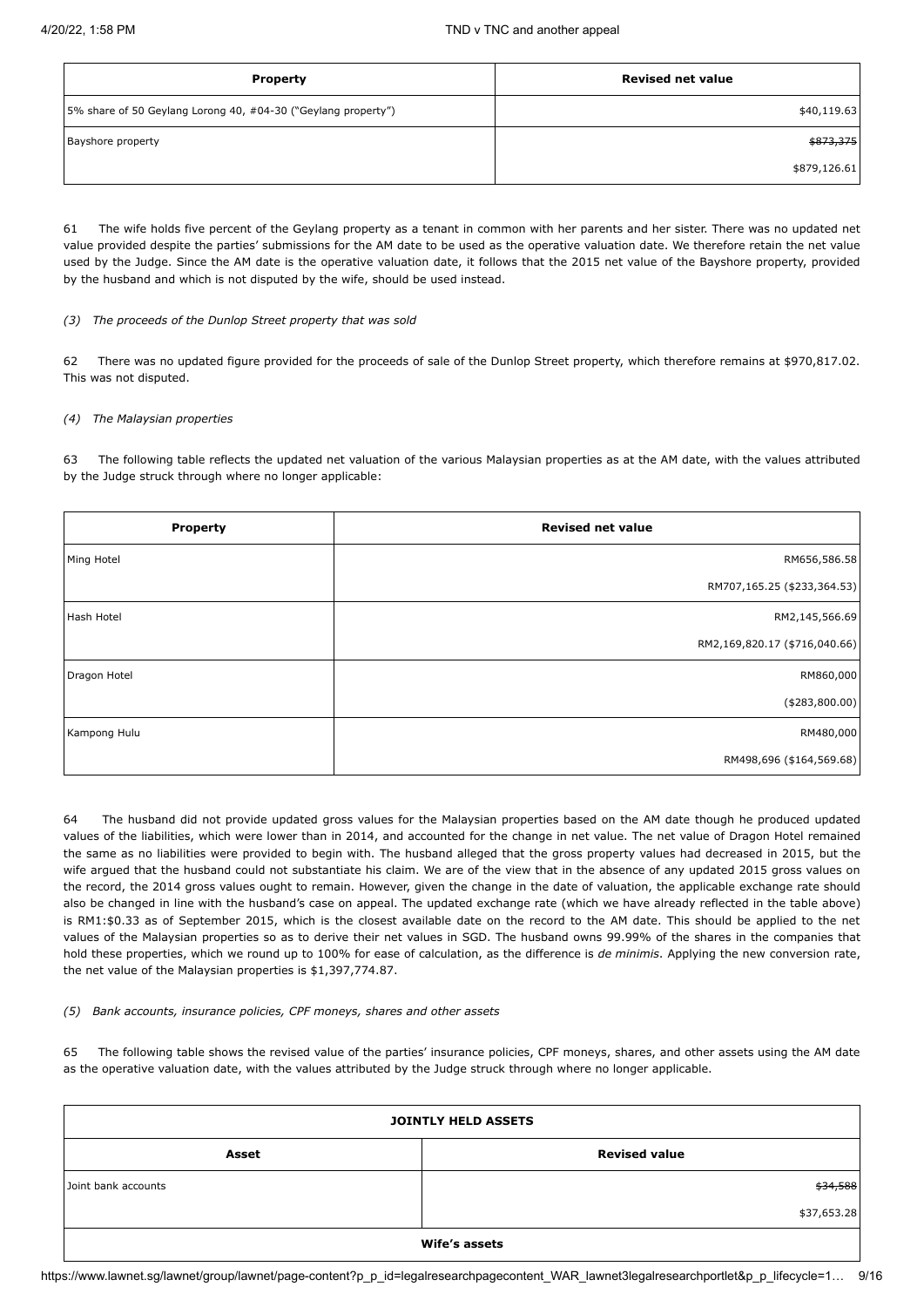| <b>Property</b>                                               | <b>Revised net value</b> |
|---------------------------------------------------------------|--------------------------|
| 5% share of 50 Geylang Lorong 40, #04-30 ("Geylang property") | \$40,119.63              |
| Bayshore property                                             | \$873,375                |
|                                                               | \$879,126.61             |

61 The wife holds five percent of the Geylang property as a tenant in common with her parents and her sister. There was no updated net value provided despite the parties' submissions for the AM date to be used as the operative valuation date. We therefore retain the net value used by the Judge. Since the AM date is the operative valuation date, it follows that the 2015 net value of the Bayshore property, provided by the husband and which is not disputed by the wife, should be used instead.

## *(3) The proceeds of the Dunlop Street property that was sold*

62 There was no updated figure provided for the proceeds of sale of the Dunlop Street property, which therefore remains at \$970,817.02. This was not disputed.

## *(4) The Malaysian properties*

63 The following table reflects the updated net valuation of the various Malaysian properties as at the AM date, with the values attributed by the Judge struck through where no longer applicable:

| <b>Property</b> | <b>Revised net value</b>      |
|-----------------|-------------------------------|
| Ming Hotel      | RM656,586.58                  |
|                 | RM707,165.25 (\$233,364.53)   |
| Hash Hotel      | RM2,145,566.69                |
|                 | RM2,169,820.17 (\$716,040.66) |
| Dragon Hotel    | RM860,000                     |
|                 | ( \$283, 800.00)              |
| Kampong Hulu    | RM480,000                     |
|                 | RM498,696 (\$164,569.68)      |

64 The husband did not provide updated gross values for the Malaysian properties based on the AM date though he produced updated values of the liabilities, which were lower than in 2014, and accounted for the change in net value. The net value of Dragon Hotel remained the same as no liabilities were provided to begin with. The husband alleged that the gross property values had decreased in 2015, but the wife argued that the husband could not substantiate his claim. We are of the view that in the absence of any updated 2015 gross values on the record, the 2014 gross values ought to remain. However, given the change in the date of valuation, the applicable exchange rate should also be changed in line with the husband's case on appeal. The updated exchange rate (which we have already reflected in the table above) is RM1:\$0.33 as of September 2015, which is the closest available date on the record to the AM date. This should be applied to the net values of the Malaysian properties so as to derive their net values in SGD. The husband owns 99.99% of the shares in the companies that hold these properties, which we round up to 100% for ease of calculation, as the difference is *de minimis*. Applying the new conversion rate, the net value of the Malaysian properties is \$1,397,774.87.

## *(5) Bank accounts, insurance policies, CPF moneys, shares and other assets*

65 The following table shows the revised value of the parties' insurance policies, CPF moneys, shares, and other assets using the AM date as the operative valuation date, with the values attributed by the Judge struck through where no longer applicable.

| <b>JOINTLY HELD ASSETS</b> |                      |  |  |
|----------------------------|----------------------|--|--|
| Asset                      | <b>Revised value</b> |  |  |
| Joint bank accounts        | \$34,588             |  |  |
|                            | \$37,653.28          |  |  |
|                            | Wife's assets        |  |  |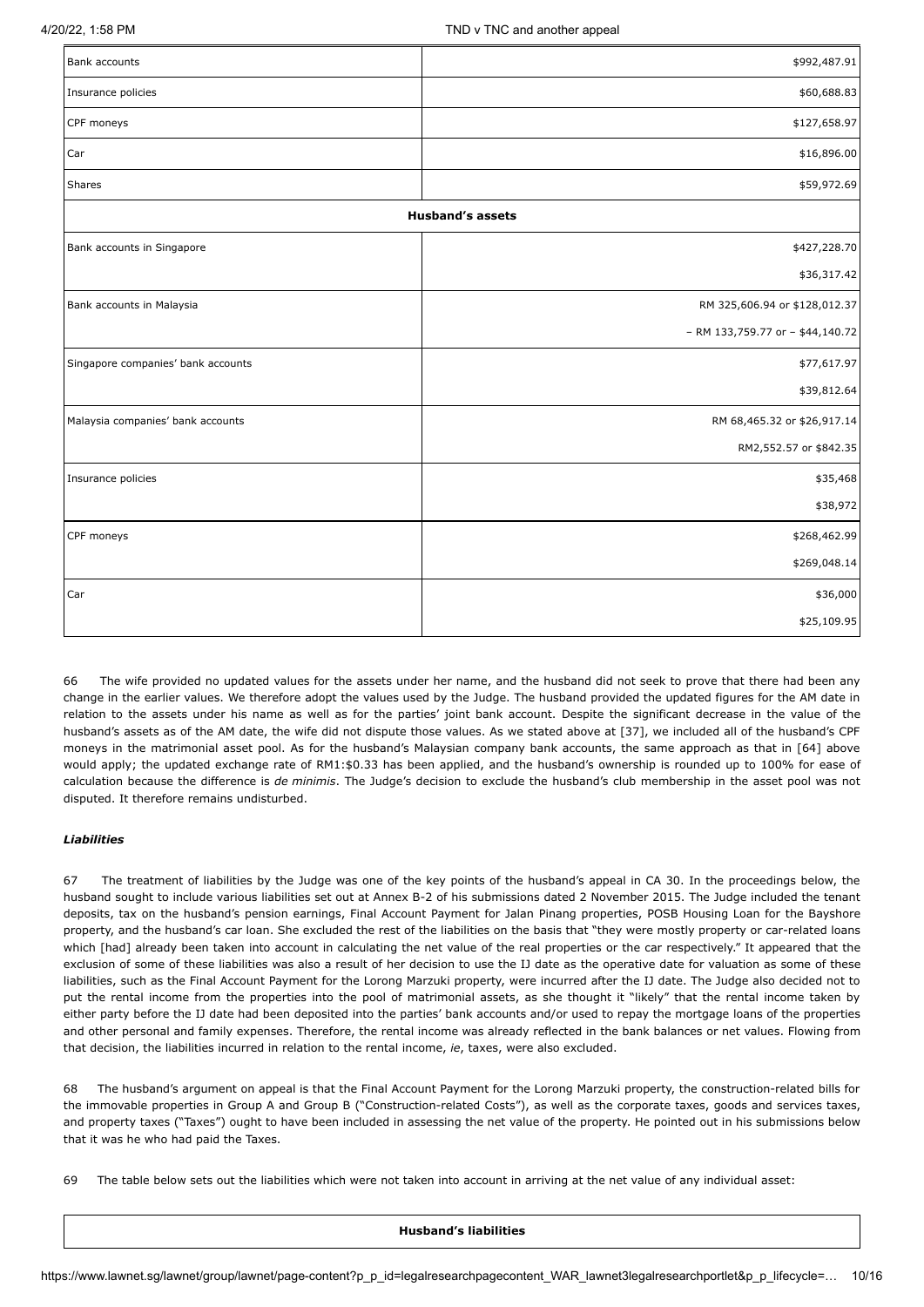| Bank accounts                      | \$992,487.91                     |  |  |
|------------------------------------|----------------------------------|--|--|
| Insurance policies                 | \$60,688.83                      |  |  |
| CPF moneys                         | \$127,658.97                     |  |  |
| Car                                | \$16,896.00                      |  |  |
| Shares                             | \$59,972.69                      |  |  |
| <b>Husband's assets</b>            |                                  |  |  |
| Bank accounts in Singapore         | \$427,228.70                     |  |  |
|                                    | \$36,317.42                      |  |  |
| Bank accounts in Malaysia          | RM 325,606.94 or \$128,012.37    |  |  |
|                                    | - RM 133,759.77 or - \$44,140.72 |  |  |
| Singapore companies' bank accounts | \$77,617.97                      |  |  |
|                                    | \$39,812.64                      |  |  |
| Malaysia companies' bank accounts  | RM 68,465.32 or \$26,917.14      |  |  |
|                                    | RM2,552.57 or \$842.35           |  |  |
| Insurance policies                 | \$35,468                         |  |  |
|                                    | \$38,972                         |  |  |
| CPF moneys                         | \$268,462.99                     |  |  |
|                                    | \$269,048.14                     |  |  |
| Car                                | \$36,000                         |  |  |
|                                    | \$25,109.95                      |  |  |

66 The wife provided no updated values for the assets under her name, and the husband did not seek to prove that there had been any change in the earlier values. We therefore adopt the values used by the Judge. The husband provided the updated figures for the AM date in relation to the assets under his name as well as for the parties' joint bank account. Despite the significant decrease in the value of the husband's assets as of the AM date, the wife did not dispute those values. As we stated above at [37], we included all of the husband's CPF moneys in the matrimonial asset pool. As for the husband's Malaysian company bank accounts, the same approach as that in [64] above would apply; the updated exchange rate of RM1:\$0.33 has been applied, and the husband's ownership is rounded up to 100% for ease of calculation because the difference is *de minimis*. The Judge's decision to exclude the husband's club membership in the asset pool was not disputed. It therefore remains undisturbed.

## *Liabilities*

67 The treatment of liabilities by the Judge was one of the key points of the husband's appeal in CA 30. In the proceedings below, the husband sought to include various liabilities set out at Annex B-2 of his submissions dated 2 November 2015. The Judge included the tenant deposits, tax on the husband's pension earnings, Final Account Payment for Jalan Pinang properties, POSB Housing Loan for the Bayshore property, and the husband's car loan. She excluded the rest of the liabilities on the basis that "they were mostly property or car-related loans which [had] already been taken into account in calculating the net value of the real properties or the car respectively." It appeared that the exclusion of some of these liabilities was also a result of her decision to use the IJ date as the operative date for valuation as some of these liabilities, such as the Final Account Payment for the Lorong Marzuki property, were incurred after the IJ date. The Judge also decided not to put the rental income from the properties into the pool of matrimonial assets, as she thought it "likely" that the rental income taken by either party before the IJ date had been deposited into the parties' bank accounts and/or used to repay the mortgage loans of the properties and other personal and family expenses. Therefore, the rental income was already reflected in the bank balances or net values. Flowing from that decision, the liabilities incurred in relation to the rental income, *ie*, taxes, were also excluded.

68 The husband's argument on appeal is that the Final Account Payment for the Lorong Marzuki property, the construction-related bills for the immovable properties in Group A and Group B ("Construction-related Costs"), as well as the corporate taxes, goods and services taxes, and property taxes ("Taxes") ought to have been included in assessing the net value of the property. He pointed out in his submissions below that it was he who had paid the Taxes.

69 The table below sets out the liabilities which were not taken into account in arriving at the net value of any individual asset:

#### **Husband's liabilities**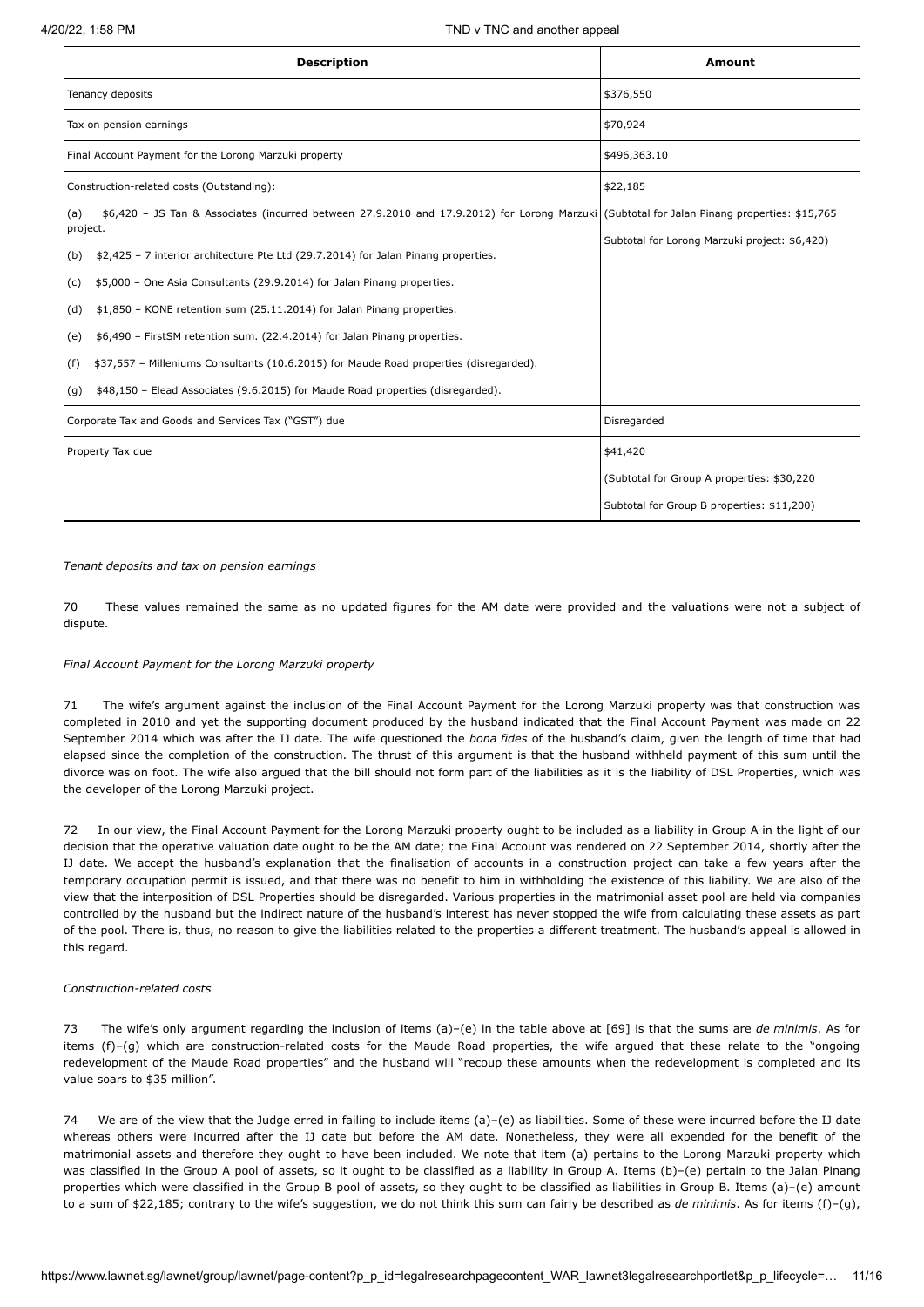| <b>Description</b>                                                                                                                                             | Amount                                        |
|----------------------------------------------------------------------------------------------------------------------------------------------------------------|-----------------------------------------------|
| Tenancy deposits                                                                                                                                               | \$376,550                                     |
| Tax on pension earnings                                                                                                                                        | \$70,924                                      |
| Final Account Payment for the Lorong Marzuki property                                                                                                          | \$496,363.10                                  |
| Construction-related costs (Outstanding):                                                                                                                      | \$22,185                                      |
| \$6,420 - JS Tan & Associates (incurred between 27.9.2010 and 17.9.2012) for Lorong Marzuki (Subtotal for Jalan Pinang properties: \$15,765<br>(a)<br>project. |                                               |
| \$2,425 - 7 interior architecture Pte Ltd (29.7.2014) for Jalan Pinang properties.<br>(b)                                                                      | Subtotal for Lorong Marzuki project: \$6,420) |
| \$5,000 - One Asia Consultants (29.9.2014) for Jalan Pinang properties.<br>(c)                                                                                 |                                               |
| \$1,850 - KONE retention sum (25.11.2014) for Jalan Pinang properties.<br>(d)                                                                                  |                                               |
| \$6,490 - FirstSM retention sum. (22.4.2014) for Jalan Pinang properties.<br>(e)                                                                               |                                               |
| \$37,557 - Milleniums Consultants (10.6.2015) for Maude Road properties (disregarded).<br>(f)                                                                  |                                               |
| \$48,150 - Elead Associates (9.6.2015) for Maude Road properties (disregarded).<br>(g)                                                                         |                                               |
| Corporate Tax and Goods and Services Tax ("GST") due                                                                                                           | Disregarded                                   |
| Property Tax due                                                                                                                                               | \$41,420                                      |
|                                                                                                                                                                | (Subtotal for Group A properties: \$30,220    |
|                                                                                                                                                                | Subtotal for Group B properties: \$11,200)    |

*Tenant deposits and tax on pension earnings*

70 These values remained the same as no updated figures for the AM date were provided and the valuations were not a subject of dispute.

## *Final Account Payment for the Lorong Marzuki property*

71 The wife's argument against the inclusion of the Final Account Payment for the Lorong Marzuki property was that construction was completed in 2010 and yet the supporting document produced by the husband indicated that the Final Account Payment was made on 22 September 2014 which was after the IJ date. The wife questioned the *bona fides* of the husband's claim, given the length of time that had elapsed since the completion of the construction. The thrust of this argument is that the husband withheld payment of this sum until the divorce was on foot. The wife also argued that the bill should not form part of the liabilities as it is the liability of DSL Properties, which was the developer of the Lorong Marzuki project.

72 In our view, the Final Account Payment for the Lorong Marzuki property ought to be included as a liability in Group A in the light of our decision that the operative valuation date ought to be the AM date; the Final Account was rendered on 22 September 2014, shortly after the IJ date. We accept the husband's explanation that the finalisation of accounts in a construction project can take a few years after the temporary occupation permit is issued, and that there was no benefit to him in withholding the existence of this liability. We are also of the view that the interposition of DSL Properties should be disregarded. Various properties in the matrimonial asset pool are held via companies controlled by the husband but the indirect nature of the husband's interest has never stopped the wife from calculating these assets as part of the pool. There is, thus, no reason to give the liabilities related to the properties a different treatment. The husband's appeal is allowed in this regard.

## *Construction-related costs*

73 The wife's only argument regarding the inclusion of items (a)–(e) in the table above at [69] is that the sums are *de minimis*. As for items (f)–(g) which are construction-related costs for the Maude Road properties, the wife argued that these relate to the "ongoing redevelopment of the Maude Road properties" and the husband will "recoup these amounts when the redevelopment is completed and its value soars to \$35 million".

74 We are of the view that the Judge erred in failing to include items (a)–(e) as liabilities. Some of these were incurred before the IJ date whereas others were incurred after the IJ date but before the AM date. Nonetheless, they were all expended for the benefit of the matrimonial assets and therefore they ought to have been included. We note that item (a) pertains to the Lorong Marzuki property which was classified in the Group A pool of assets, so it ought to be classified as a liability in Group A. Items (b)-(e) pertain to the Jalan Pinang properties which were classified in the Group B pool of assets, so they ought to be classified as liabilities in Group B. Items (a)–(e) amount to a sum of \$22,185; contrary to the wife's suggestion, we do not think this sum can fairly be described as *de minimis*. As for items (f)–(g),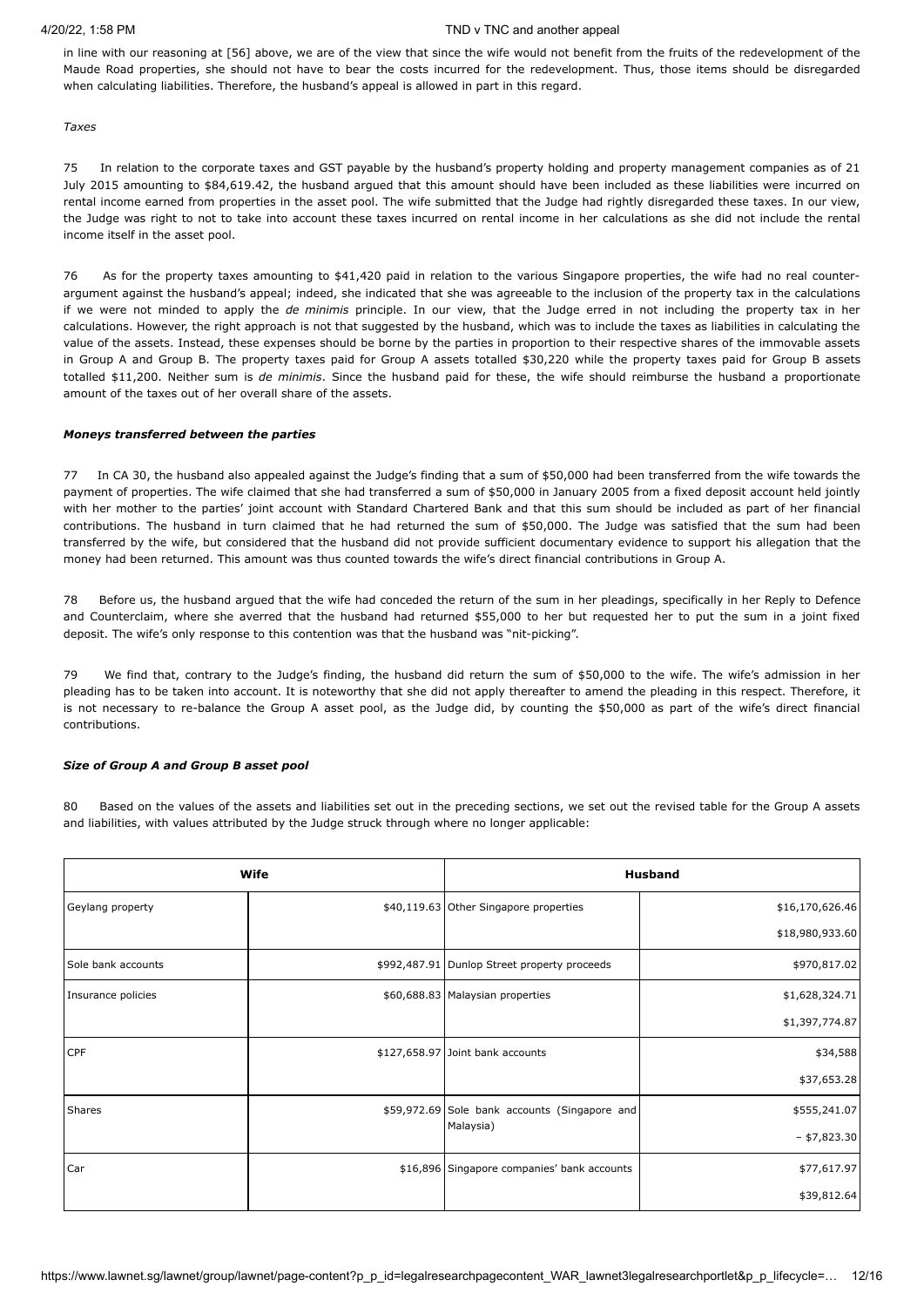in line with our reasoning at [56] above, we are of the view that since the wife would not benefit from the fruits of the redevelopment of the Maude Road properties, she should not have to bear the costs incurred for the redevelopment. Thus, those items should be disregarded when calculating liabilities. Therefore, the husband's appeal is allowed in part in this regard.

*Taxes*

75 In relation to the corporate taxes and GST payable by the husband's property holding and property management companies as of 21 July 2015 amounting to \$84,619.42, the husband argued that this amount should have been included as these liabilities were incurred on rental income earned from properties in the asset pool. The wife submitted that the Judge had rightly disregarded these taxes. In our view, the Judge was right to not to take into account these taxes incurred on rental income in her calculations as she did not include the rental income itself in the asset pool.

76 As for the property taxes amounting to \$41,420 paid in relation to the various Singapore properties, the wife had no real counterargument against the husband's appeal; indeed, she indicated that she was agreeable to the inclusion of the property tax in the calculations if we were not minded to apply the *de minimis* principle. In our view, that the Judge erred in not including the property tax in her calculations. However, the right approach is not that suggested by the husband, which was to include the taxes as liabilities in calculating the value of the assets. Instead, these expenses should be borne by the parties in proportion to their respective shares of the immovable assets in Group A and Group B. The property taxes paid for Group A assets totalled \$30,220 while the property taxes paid for Group B assets totalled \$11,200. Neither sum is *de minimis*. Since the husband paid for these, the wife should reimburse the husband a proportionate amount of the taxes out of her overall share of the assets.

## *Moneys transferred between the parties*

77 In CA 30, the husband also appealed against the Judge's finding that a sum of \$50,000 had been transferred from the wife towards the payment of properties. The wife claimed that she had transferred a sum of \$50,000 in January 2005 from a fixed deposit account held jointly with her mother to the parties' joint account with Standard Chartered Bank and that this sum should be included as part of her financial contributions. The husband in turn claimed that he had returned the sum of \$50,000. The Judge was satisfied that the sum had been transferred by the wife, but considered that the husband did not provide sufficient documentary evidence to support his allegation that the money had been returned. This amount was thus counted towards the wife's direct financial contributions in Group A.

78 Before us, the husband argued that the wife had conceded the return of the sum in her pleadings, specifically in her Reply to Defence and Counterclaim, where she averred that the husband had returned \$55,000 to her but requested her to put the sum in a joint fixed deposit. The wife's only response to this contention was that the husband was "nit-picking".

79 We find that, contrary to the Judge's finding, the husband did return the sum of \$50,000 to the wife. The wife's admission in her pleading has to be taken into account. It is noteworthy that she did not apply thereafter to amend the pleading in this respect. Therefore, it is not necessary to re-balance the Group A asset pool, as the Judge did, by counting the \$50,000 as part of the wife's direct financial contributions.

## *Size of Group A and Group B asset pool*

80 Based on the values of the assets and liabilities set out in the preceding sections, we set out the revised table for the Group A assets and liabilities, with values attributed by the Judge struck through where no longer applicable:

|                    | Wife |                                               | <b>Husband</b>  |
|--------------------|------|-----------------------------------------------|-----------------|
| Geylang property   |      | \$40,119.63 Other Singapore properties        | \$16,170,626.46 |
|                    |      |                                               | \$18,980,933.60 |
| Sole bank accounts |      | \$992,487.91 Dunlop Street property proceeds  | \$970,817.02    |
| Insurance policies |      | \$60,688.83 Malaysian properties              | \$1,628,324.71  |
|                    |      |                                               | \$1,397,774.87  |
| <b>CPF</b>         |      | \$127,658.97 Joint bank accounts              | \$34,588        |
|                    |      |                                               | \$37,653.28     |
| <b>Shares</b>      |      | \$59,972.69 Sole bank accounts (Singapore and | \$555,241.07    |
|                    |      | Malaysia)                                     | $-$ \$7,823.30  |
| Car                |      | \$16,896 Singapore companies' bank accounts   | \$77,617.97     |
|                    |      |                                               | \$39,812.64     |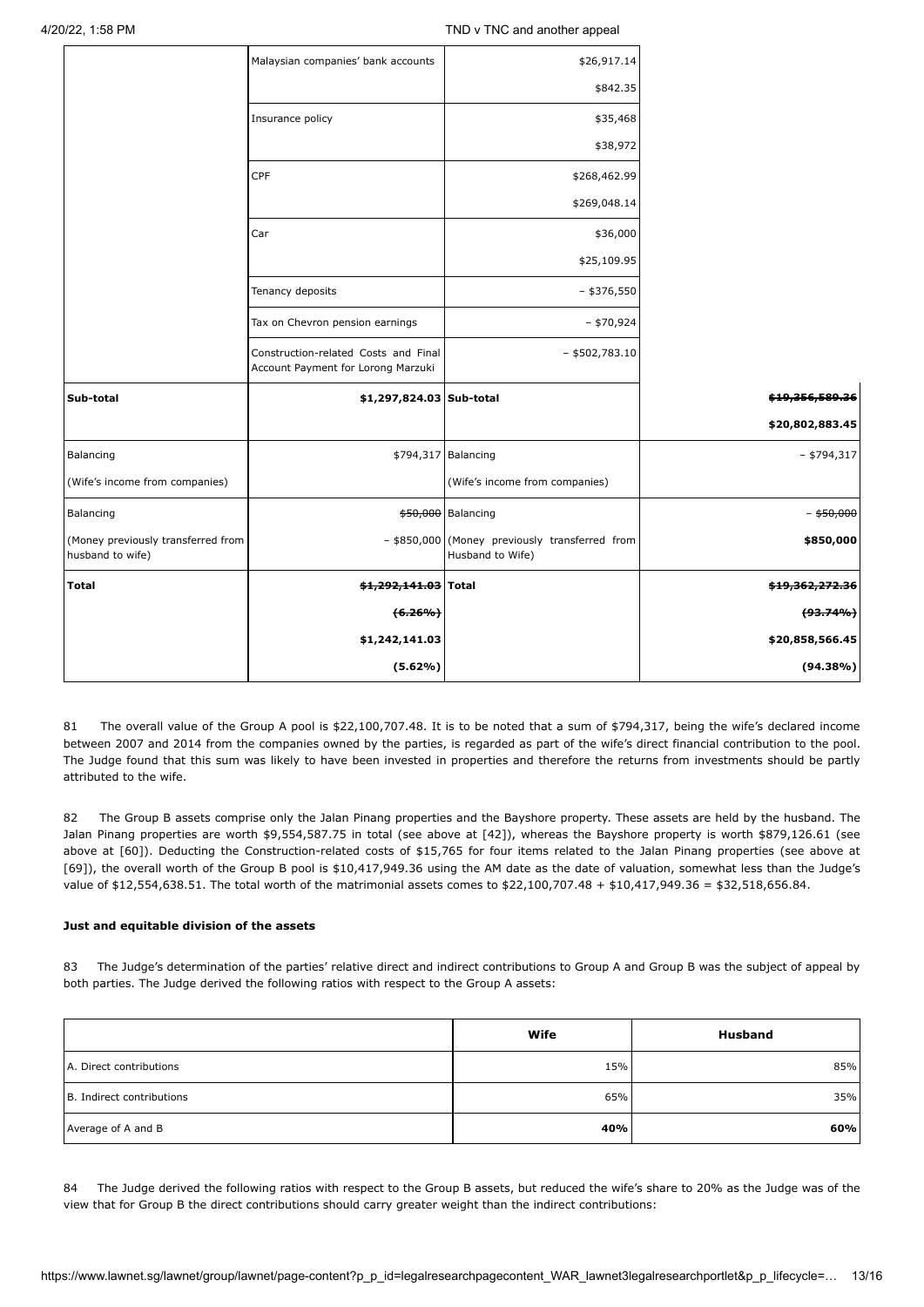|                                                        | Malaysian companies' bank accounts                                         | \$26,917.14                                                        |                            |
|--------------------------------------------------------|----------------------------------------------------------------------------|--------------------------------------------------------------------|----------------------------|
|                                                        |                                                                            | \$842.35                                                           |                            |
|                                                        | Insurance policy                                                           | \$35,468                                                           |                            |
|                                                        |                                                                            | \$38,972                                                           |                            |
|                                                        | CPF                                                                        | \$268,462.99                                                       |                            |
|                                                        |                                                                            | \$269,048.14                                                       |                            |
|                                                        | Car                                                                        | \$36,000                                                           |                            |
|                                                        |                                                                            | \$25,109.95                                                        |                            |
|                                                        | Tenancy deposits                                                           | $-$ \$376,550                                                      |                            |
|                                                        | Tax on Chevron pension earnings                                            | $-$ \$70,924                                                       |                            |
|                                                        | Construction-related Costs and Final<br>Account Payment for Lorong Marzuki | $-$ \$502,783.10                                                   |                            |
| Sub-total                                              | \$1,297,824.03 Sub-total                                                   |                                                                    | \$19,356,589.36            |
|                                                        |                                                                            |                                                                    | \$20,802,883.45            |
| Balancing                                              |                                                                            | \$794,317 Balancing                                                | $-$ \$794,317              |
| (Wife's income from companies)                         |                                                                            | (Wife's income from companies)                                     |                            |
| Balancing                                              |                                                                            | \$50,000 Balancing                                                 | - <del>\$50,000</del>      |
| (Money previously transferred from<br>husband to wife) |                                                                            | - \$850,000 (Money previously transferred from<br>Husband to Wife) | \$850,000                  |
| <b>Total</b>                                           | \$1,292,141.03 Total                                                       |                                                                    | <del>\$19,362,272.36</del> |
|                                                        | $(6.26\%)$                                                                 |                                                                    | $(93.74\%)$                |
|                                                        | \$1,242,141.03                                                             |                                                                    | \$20,858,566.45            |
|                                                        | (5.62%)                                                                    |                                                                    | (94.38%)                   |

81 The overall value of the Group A pool is \$22,100,707.48. It is to be noted that a sum of \$794,317, being the wife's declared income between 2007 and 2014 from the companies owned by the parties, is regarded as part of the wife's direct financial contribution to the pool. The Judge found that this sum was likely to have been invested in properties and therefore the returns from investments should be partly attributed to the wife.

82 The Group B assets comprise only the Jalan Pinang properties and the Bayshore property. These assets are held by the husband. The Jalan Pinang properties are worth \$9,554,587.75 in total (see above at [42]), whereas the Bayshore property is worth \$879,126.61 (see above at [60]). Deducting the Construction-related costs of \$15,765 for four items related to the Jalan Pinang properties (see above at [69]), the overall worth of the Group B pool is \$10,417,949.36 using the AM date as the date of valuation, somewhat less than the Judge's value of \$12,554,638.51. The total worth of the matrimonial assets comes to \$22,100,707.48 + \$10,417,949.36 = \$32,518,656.84.

## **Just and equitable division of the assets**

83 The Judge's determination of the parties' relative direct and indirect contributions to Group A and Group B was the subject of appeal by both parties. The Judge derived the following ratios with respect to the Group A assets:

|                           | Wife | <b>Husband</b> |
|---------------------------|------|----------------|
| A. Direct contributions   | 15%  | 85%            |
| B. Indirect contributions | 65%  | 35%            |
| Average of A and B        | 40%  | 60%            |

84 The Judge derived the following ratios with respect to the Group B assets, but reduced the wife's share to 20% as the Judge was of the view that for Group B the direct contributions should carry greater weight than the indirect contributions: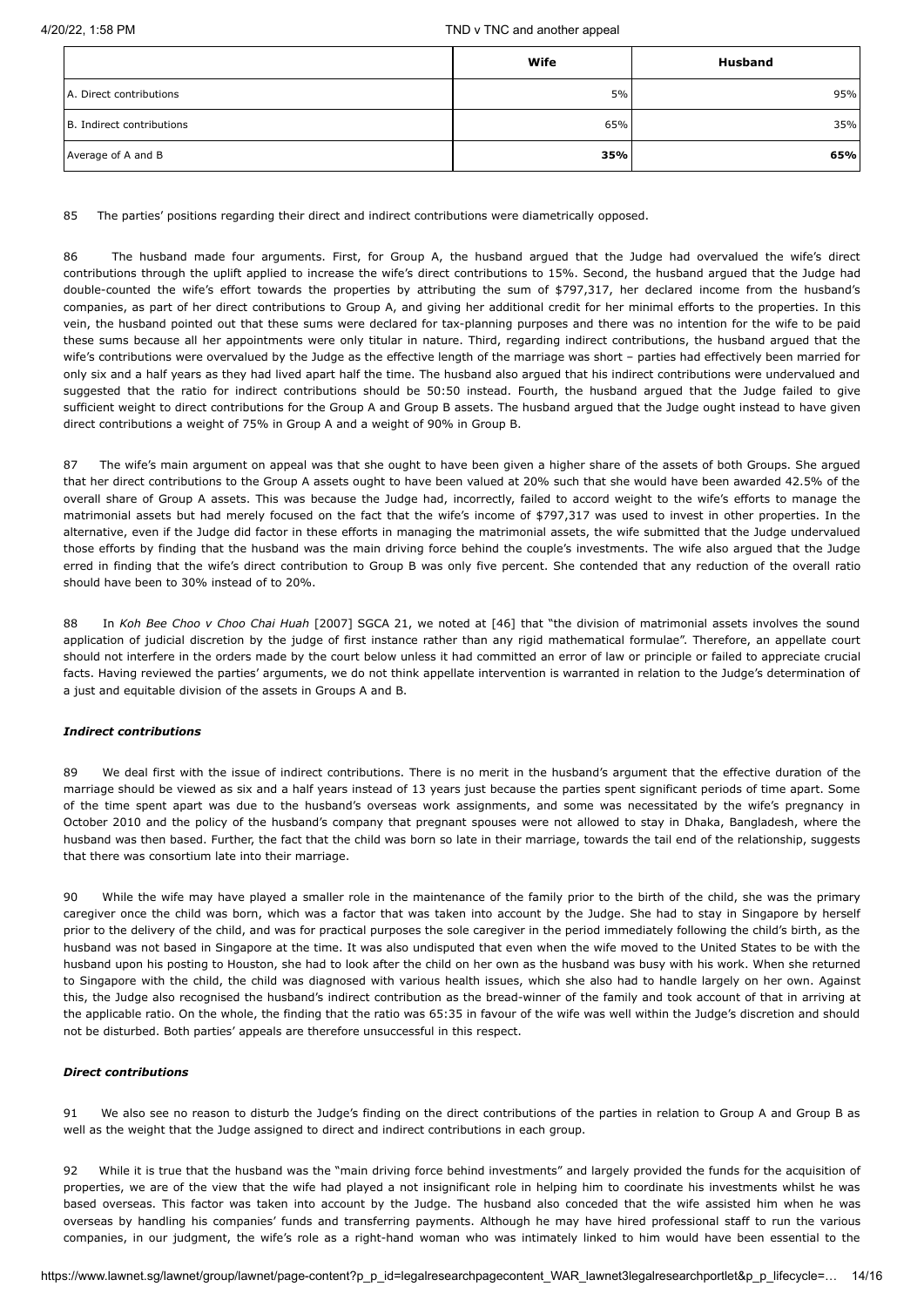|                           | Wife | <b>Husband</b> |
|---------------------------|------|----------------|
| A. Direct contributions   | 5%   | 95%            |
| B. Indirect contributions | 65%  | 35%            |
| Average of A and B        | 35%  | 65%            |

85 The parties' positions regarding their direct and indirect contributions were diametrically opposed.

86 The husband made four arguments. First, for Group A, the husband argued that the Judge had overvalued the wife's direct contributions through the uplift applied to increase the wife's direct contributions to 15%. Second, the husband argued that the Judge had double-counted the wife's effort towards the properties by attributing the sum of \$797,317, her declared income from the husband's companies, as part of her direct contributions to Group A, and giving her additional credit for her minimal efforts to the properties. In this vein, the husband pointed out that these sums were declared for tax-planning purposes and there was no intention for the wife to be paid these sums because all her appointments were only titular in nature. Third, regarding indirect contributions, the husband argued that the wife's contributions were overvalued by the Judge as the effective length of the marriage was short – parties had effectively been married for only six and a half years as they had lived apart half the time. The husband also argued that his indirect contributions were undervalued and suggested that the ratio for indirect contributions should be 50:50 instead. Fourth, the husband argued that the Judge failed to give sufficient weight to direct contributions for the Group A and Group B assets. The husband argued that the Judge ought instead to have given direct contributions a weight of 75% in Group A and a weight of 90% in Group B.

87 The wife's main argument on appeal was that she ought to have been given a higher share of the assets of both Groups. She argued that her direct contributions to the Group A assets ought to have been valued at 20% such that she would have been awarded 42.5% of the overall share of Group A assets. This was because the Judge had, incorrectly, failed to accord weight to the wife's efforts to manage the matrimonial assets but had merely focused on the fact that the wife's income of \$797,317 was used to invest in other properties. In the alternative, even if the Judge did factor in these efforts in managing the matrimonial assets, the wife submitted that the Judge undervalued those efforts by finding that the husband was the main driving force behind the couple's investments. The wife also argued that the Judge erred in finding that the wife's direct contribution to Group B was only five percent. She contended that any reduction of the overall ratio should have been to 30% instead of to 20%.

88 In *Koh Bee Choo v Choo Chai Huah* [\[2007\] SGCA 21,](javascript:viewPageContent() we noted at [46] that "the division of matrimonial assets involves the sound application of judicial discretion by the judge of first instance rather than any rigid mathematical formulae". Therefore, an appellate court should not interfere in the orders made by the court below unless it had committed an error of law or principle or failed to appreciate crucial facts. Having reviewed the parties' arguments, we do not think appellate intervention is warranted in relation to the Judge's determination of a just and equitable division of the assets in Groups A and B.

## *Indirect contributions*

89 We deal first with the issue of indirect contributions. There is no merit in the husband's argument that the effective duration of the marriage should be viewed as six and a half years instead of 13 years just because the parties spent significant periods of time apart. Some of the time spent apart was due to the husband's overseas work assignments, and some was necessitated by the wife's pregnancy in October 2010 and the policy of the husband's company that pregnant spouses were not allowed to stay in Dhaka, Bangladesh, where the husband was then based. Further, the fact that the child was born so late in their marriage, towards the tail end of the relationship, suggests that there was consortium late into their marriage.

90 While the wife may have played a smaller role in the maintenance of the family prior to the birth of the child, she was the primary caregiver once the child was born, which was a factor that was taken into account by the Judge. She had to stay in Singapore by herself prior to the delivery of the child, and was for practical purposes the sole caregiver in the period immediately following the child's birth, as the husband was not based in Singapore at the time. It was also undisputed that even when the wife moved to the United States to be with the husband upon his posting to Houston, she had to look after the child on her own as the husband was busy with his work. When she returned to Singapore with the child, the child was diagnosed with various health issues, which she also had to handle largely on her own. Against this, the Judge also recognised the husband's indirect contribution as the bread-winner of the family and took account of that in arriving at the applicable ratio. On the whole, the finding that the ratio was 65:35 in favour of the wife was well within the Judge's discretion and should not be disturbed. Both parties' appeals are therefore unsuccessful in this respect.

## *Direct contributions*

91 We also see no reason to disturb the Judge's finding on the direct contributions of the parties in relation to Group A and Group B as well as the weight that the Judge assigned to direct and indirect contributions in each group.

92 While it is true that the husband was the "main driving force behind investments" and largely provided the funds for the acquisition of properties, we are of the view that the wife had played a not insignificant role in helping him to coordinate his investments whilst he was based overseas. This factor was taken into account by the Judge. The husband also conceded that the wife assisted him when he was overseas by handling his companies' funds and transferring payments. Although he may have hired professional staff to run the various companies, in our judgment, the wife's role as a right-hand woman who was intimately linked to him would have been essential to the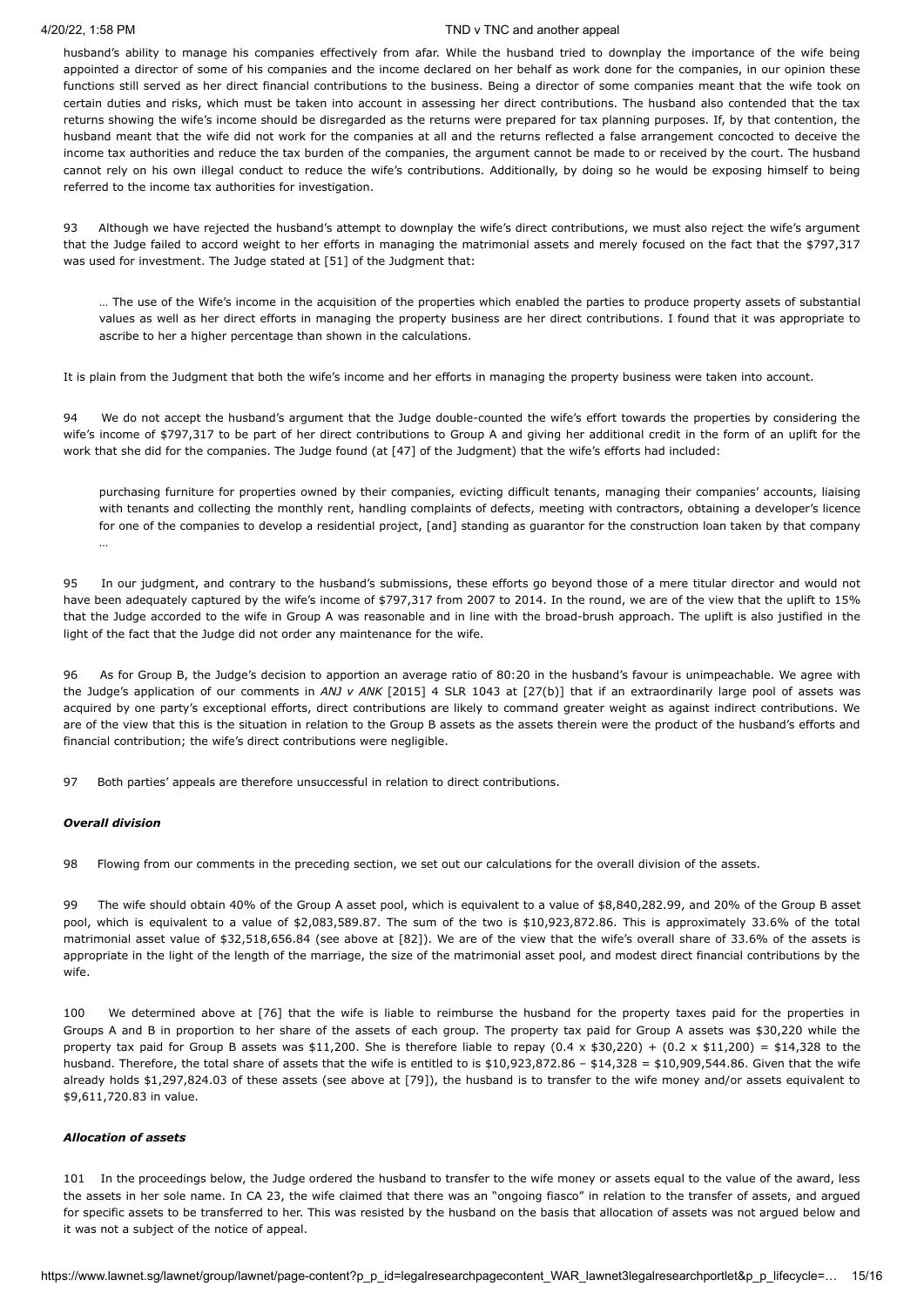husband's ability to manage his companies effectively from afar. While the husband tried to downplay the importance of the wife being appointed a director of some of his companies and the income declared on her behalf as work done for the companies, in our opinion these functions still served as her direct financial contributions to the business. Being a director of some companies meant that the wife took on certain duties and risks, which must be taken into account in assessing her direct contributions. The husband also contended that the tax returns showing the wife's income should be disregarded as the returns were prepared for tax planning purposes. If, by that contention, the husband meant that the wife did not work for the companies at all and the returns reflected a false arrangement concocted to deceive the income tax authorities and reduce the tax burden of the companies, the argument cannot be made to or received by the court. The husband cannot rely on his own illegal conduct to reduce the wife's contributions. Additionally, by doing so he would be exposing himself to being referred to the income tax authorities for investigation.

93 Although we have rejected the husband's attempt to downplay the wife's direct contributions, we must also reject the wife's argument that the Judge failed to accord weight to her efforts in managing the matrimonial assets and merely focused on the fact that the \$797,317 was used for investment. The Judge stated at [51] of the Judgment that:

… The use of the Wife's income in the acquisition of the properties which enabled the parties to produce property assets of substantial values as well as her direct efforts in managing the property business are her direct contributions. I found that it was appropriate to ascribe to her a higher percentage than shown in the calculations.

It is plain from the Judgment that both the wife's income and her efforts in managing the property business were taken into account.

We do not accept the husband's argument that the Judge double-counted the wife's effort towards the properties by considering the wife's income of \$797,317 to be part of her direct contributions to Group A and giving her additional credit in the form of an uplift for the work that she did for the companies. The Judge found (at [47] of the Judgment) that the wife's efforts had included:

purchasing furniture for properties owned by their companies, evicting difficult tenants, managing their companies' accounts, liaising with tenants and collecting the monthly rent, handling complaints of defects, meeting with contractors, obtaining a developer's licence for one of the companies to develop a residential project, [and] standing as guarantor for the construction loan taken by that company …

95 In our judgment, and contrary to the husband's submissions, these efforts go beyond those of a mere titular director and would not have been adequately captured by the wife's income of \$797,317 from 2007 to 2014. In the round, we are of the view that the uplift to 15% that the Judge accorded to the wife in Group A was reasonable and in line with the broad-brush approach. The uplift is also justified in the light of the fact that the Judge did not order any maintenance for the wife.

96 As for Group B, the Judge's decision to apportion an average ratio of 80:20 in the husband's favour is unimpeachable. We agree with the Judge's application of our comments in *ANJ v ANK* [\[2015\] 4 SLR 1043](javascript:viewPageContent() at [27(b)] that if an extraordinarily large pool of assets was acquired by one party's exceptional efforts, direct contributions are likely to command greater weight as against indirect contributions. We are of the view that this is the situation in relation to the Group B assets as the assets therein were the product of the husband's efforts and financial contribution; the wife's direct contributions were negligible.

97 Both parties' appeals are therefore unsuccessful in relation to direct contributions.

## *Overall division*

98 Flowing from our comments in the preceding section, we set out our calculations for the overall division of the assets.

99 The wife should obtain 40% of the Group A asset pool, which is equivalent to a value of \$8,840,282.99, and 20% of the Group B asset pool, which is equivalent to a value of \$2,083,589.87. The sum of the two is \$10,923,872.86. This is approximately 33.6% of the total matrimonial asset value of \$32,518,656.84 (see above at [82]). We are of the view that the wife's overall share of 33.6% of the assets is appropriate in the light of the length of the marriage, the size of the matrimonial asset pool, and modest direct financial contributions by the wife.

100 We determined above at [76] that the wife is liable to reimburse the husband for the property taxes paid for the properties in Groups A and B in proportion to her share of the assets of each group. The property tax paid for Group A assets was \$30,220 while the property tax paid for Group B assets was \$11,200. She is therefore liable to repay  $(0.4 \times $30,220) + (0.2 \times $11,200) = $14,328$  to the husband. Therefore, the total share of assets that the wife is entitled to is \$10,923,872.86 - \$14,328 = \$10,909,544.86. Given that the wife already holds \$1,297,824.03 of these assets (see above at [79]), the husband is to transfer to the wife money and/or assets equivalent to \$9,611,720.83 in value.

## *Allocation of assets*

101 In the proceedings below, the Judge ordered the husband to transfer to the wife money or assets equal to the value of the award, less the assets in her sole name. In CA 23, the wife claimed that there was an "ongoing fiasco" in relation to the transfer of assets, and argued for specific assets to be transferred to her. This was resisted by the husband on the basis that allocation of assets was not argued below and it was not a subject of the notice of appeal.